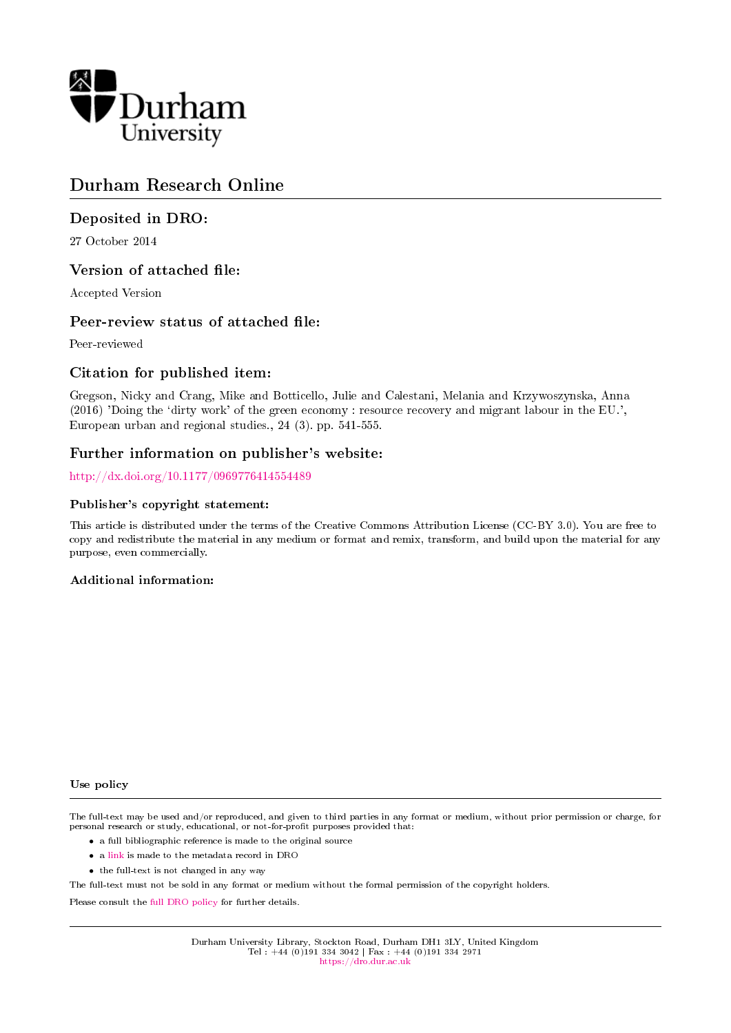

# Durham Research Online

# Deposited in DRO:

27 October 2014

# Version of attached file:

Accepted Version

# Peer-review status of attached file:

Peer-reviewed

# Citation for published item:

Gregson, Nicky and Crang, Mike and Botticello, Julie and Calestani, Melania and Krzywoszynska, Anna (2016) 'Doing the `dirty work' of the green economy : resource recovery and migrant labour in the EU.', European urban and regional studies., 24 (3). pp. 541-555.

# Further information on publisher's website:

<http://dx.doi.org/10.1177/0969776414554489>

### Publisher's copyright statement:

This article is distributed under the terms of the Creative Commons Attribution License (CC-BY 3.0). You are free to copy and redistribute the material in any medium or format and remix, transform, and build upon the material for any purpose, even commercially.

### Additional information:

#### Use policy

The full-text may be used and/or reproduced, and given to third parties in any format or medium, without prior permission or charge, for personal research or study, educational, or not-for-profit purposes provided that:

- a full bibliographic reference is made to the original source
- a [link](http://dro.dur.ac.uk/13688/) is made to the metadata record in DRO
- the full-text is not changed in any way

The full-text must not be sold in any format or medium without the formal permission of the copyright holders.

Please consult the [full DRO policy](https://dro.dur.ac.uk/policies/usepolicy.pdf) for further details.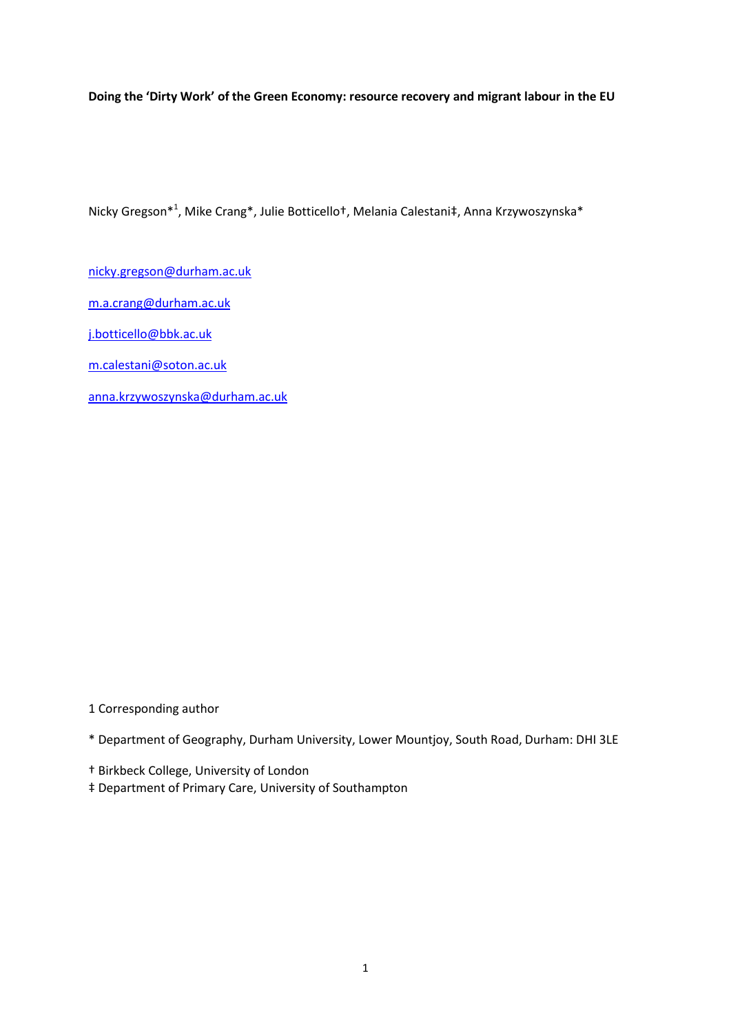**Doing the 'Dirty Work' of the Green Economy: resource recovery and migrant labour in the EU**

Nicky Gregson\*<sup>1</sup>, Mike Crang\*, Julie Botticello<sup>+</sup>, Melania Calestani‡, Anna Krzywoszynska\*

[nicky.gregson@durham.ac.uk](mailto:nicky.gregson@durham.ac.uk)

[m.a.crang@durham.ac.uk](mailto:m.a.crang@durham.ac.uk)

[j.botticello@bbk.ac.uk](mailto:j.botticello@bbk.ac.uk)

[m.calestani@soton.ac.uk](mailto:m.calestani@soton.ac.uk)

[anna.krzywoszynska@durham.ac.uk](mailto:anna.krzywoszynska@durham.ac.uk)

1 Corresponding author

\* Department of Geography, Durham University, Lower Mountjoy, South Road, Durham: DHI 3LE

† Birkbeck College, University of London

‡ Department of Primary Care, University of Southampton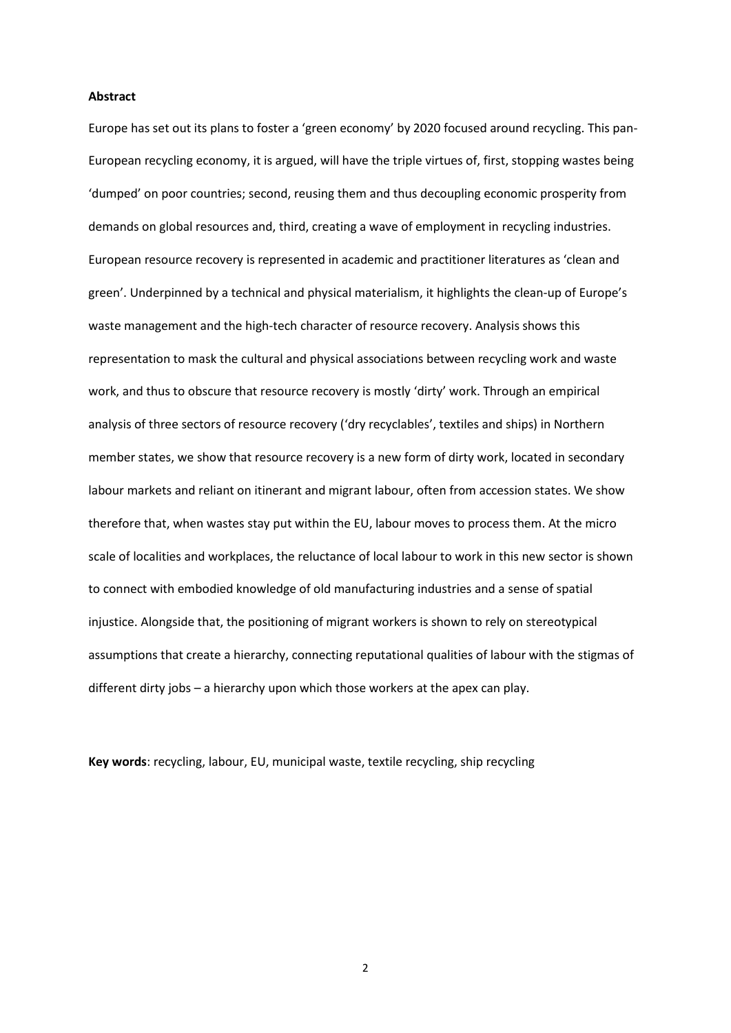### **Abstract**

Europe has set out its plans to foster a 'green economy' by 2020 focused around recycling. This pan-European recycling economy, it is argued, will have the triple virtues of, first, stopping wastes being 'dumped' on poor countries; second, reusing them and thus decoupling economic prosperity from demands on global resources and, third, creating a wave of employment in recycling industries. European resource recovery is represented in academic and practitioner literatures as 'clean and green'. Underpinned by a technical and physical materialism, it highlights the clean-up of Europe's waste management and the high-tech character of resource recovery. Analysis shows this representation to mask the cultural and physical associations between recycling work and waste work, and thus to obscure that resource recovery is mostly 'dirty' work. Through an empirical analysis of three sectors of resource recovery ('dry recyclables', textiles and ships) in Northern member states, we show that resource recovery is a new form of dirty work, located in secondary labour markets and reliant on itinerant and migrant labour, often from accession states. We show therefore that, when wastes stay put within the EU, labour moves to process them. At the micro scale of localities and workplaces, the reluctance of local labour to work in this new sector is shown to connect with embodied knowledge of old manufacturing industries and a sense of spatial injustice. Alongside that, the positioning of migrant workers is shown to rely on stereotypical assumptions that create a hierarchy, connecting reputational qualities of labour with the stigmas of different dirty jobs – a hierarchy upon which those workers at the apex can play.

**Key words**: recycling, labour, EU, municipal waste, textile recycling, ship recycling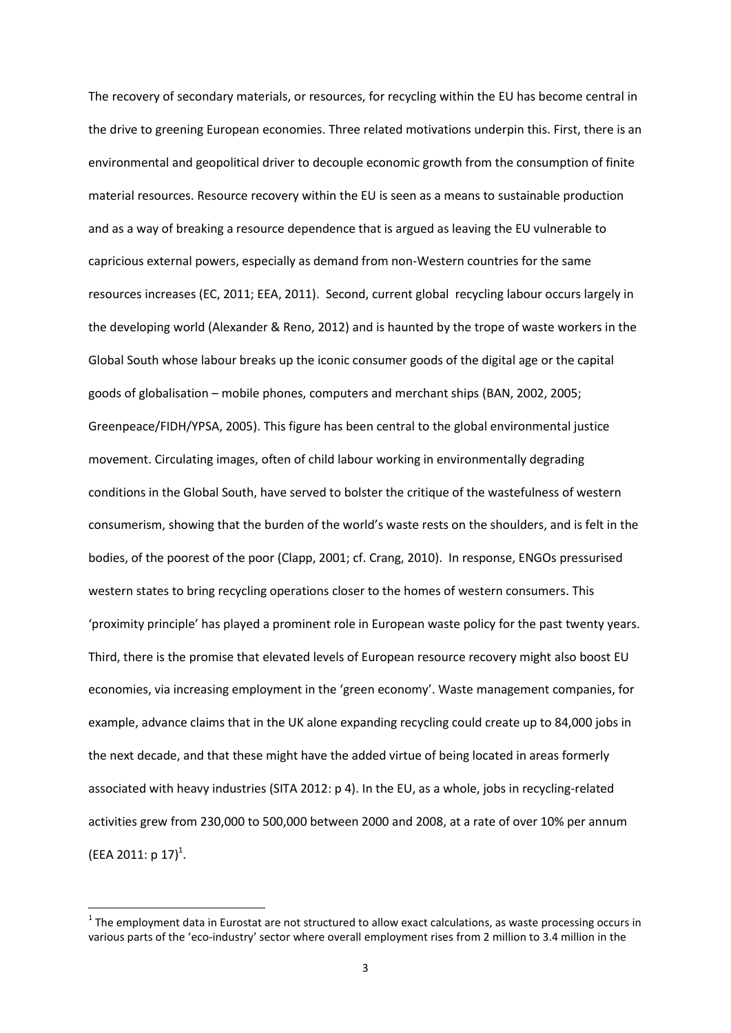The recovery of secondary materials, or resources, for recycling within the EU has become central in the drive to greening European economies. Three related motivations underpin this. First, there is an environmental and geopolitical driver to decouple economic growth from the consumption of finite material resources. Resource recovery within the EU is seen as a means to sustainable production and as a way of breaking a resource dependence that is argued as leaving the EU vulnerable to capricious external powers, especially as demand from non-Western countries for the same resources increases (EC, 2011; EEA, 2011). Second, current global recycling labour occurs largely in the developing world (Alexander & Reno, 2012) and is haunted by the trope of waste workers in the Global South whose labour breaks up the iconic consumer goods of the digital age or the capital goods of globalisation – mobile phones, computers and merchant ships (BAN, 2002, 2005; Greenpeace/FIDH/YPSA, 2005). This figure has been central to the global environmental justice movement. Circulating images, often of child labour working in environmentally degrading conditions in the Global South, have served to bolster the critique of the wastefulness of western consumerism, showing that the burden of the world's waste rests on the shoulders, and is felt in the bodies, of the poorest of the poor (Clapp, 2001; cf. Crang, 2010). In response, ENGOs pressurised western states to bring recycling operations closer to the homes of western consumers. This 'proximity principle' has played a prominent role in European waste policy for the past twenty years. Third, there is the promise that elevated levels of European resource recovery might also boost EU economies, via increasing employment in the 'green economy'. Waste management companies, for example, advance claims that in the UK alone expanding recycling could create up to 84,000 jobs in the next decade, and that these might have the added virtue of being located in areas formerly associated with heavy industries (SITA 2012: p 4). In the EU, as a whole, jobs in recycling-related activities grew from 230,000 to 500,000 between 2000 and 2008, at a rate of over 10% per annum (EEA 2011: p 17)<sup>1</sup>.

**.** 

 $1$  The employment data in Eurostat are not structured to allow exact calculations, as waste processing occurs in various parts of the 'eco-industry' sector where overall employment rises from 2 million to 3.4 million in the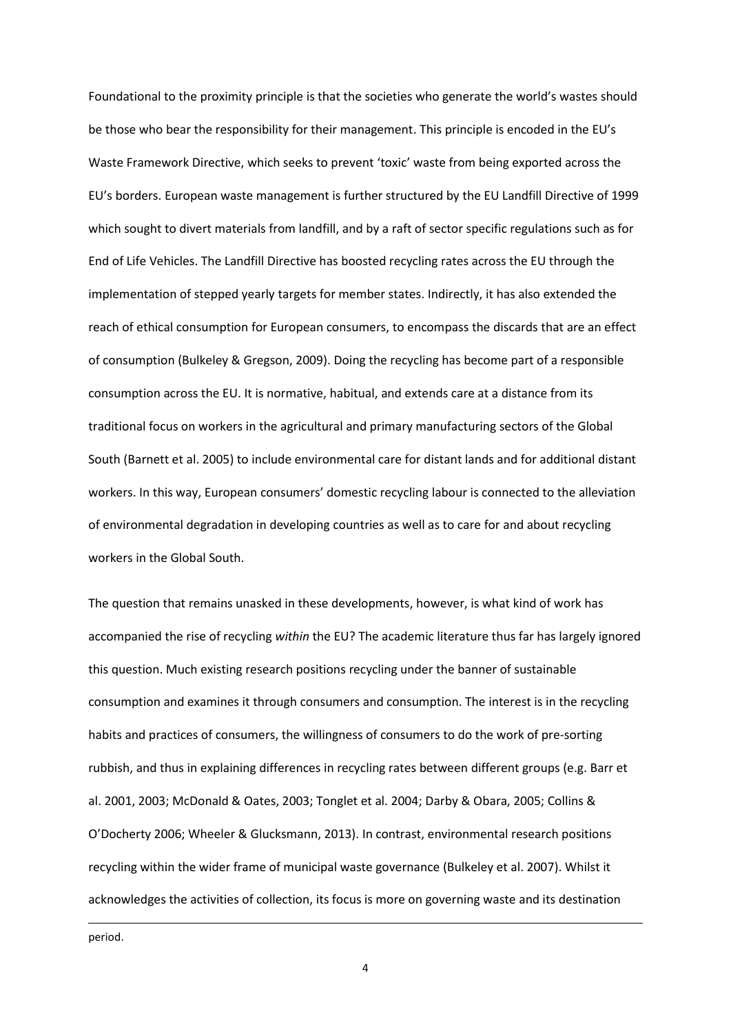Foundational to the proximity principle is that the societies who generate the world's wastes should be those who bear the responsibility for their management. This principle is encoded in the EU's Waste Framework Directive, which seeks to prevent 'toxic' waste from being exported across the EU's borders. European waste management is further structured by the EU Landfill Directive of 1999 which sought to divert materials from landfill, and by a raft of sector specific regulations such as for End of Life Vehicles. The Landfill Directive has boosted recycling rates across the EU through the implementation of stepped yearly targets for member states. Indirectly, it has also extended the reach of ethical consumption for European consumers, to encompass the discards that are an effect of consumption (Bulkeley & Gregson, 2009). Doing the recycling has become part of a responsible consumption across the EU. It is normative, habitual, and extends care at a distance from its traditional focus on workers in the agricultural and primary manufacturing sectors of the Global South (Barnett et al. 2005) to include environmental care for distant lands and for additional distant workers. In this way, European consumers' domestic recycling labour is connected to the alleviation of environmental degradation in developing countries as well as to care for and about recycling workers in the Global South.

The question that remains unasked in these developments, however, is what kind of work has accompanied the rise of recycling *within* the EU? The academic literature thus far has largely ignored this question. Much existing research positions recycling under the banner of sustainable consumption and examines it through consumers and consumption. The interest is in the recycling habits and practices of consumers, the willingness of consumers to do the work of pre-sorting rubbish, and thus in explaining differences in recycling rates between different groups (e.g. Barr et al. 2001, 2003; McDonald & Oates, 2003; Tonglet et al. 2004; Darby & Obara, 2005; Collins & O'Docherty 2006; Wheeler & Glucksmann, 2013). In contrast, environmental research positions recycling within the wider frame of municipal waste governance (Bulkeley et al. 2007). Whilst it acknowledges the activities of collection, its focus is more on governing waste and its destination

period.

**.**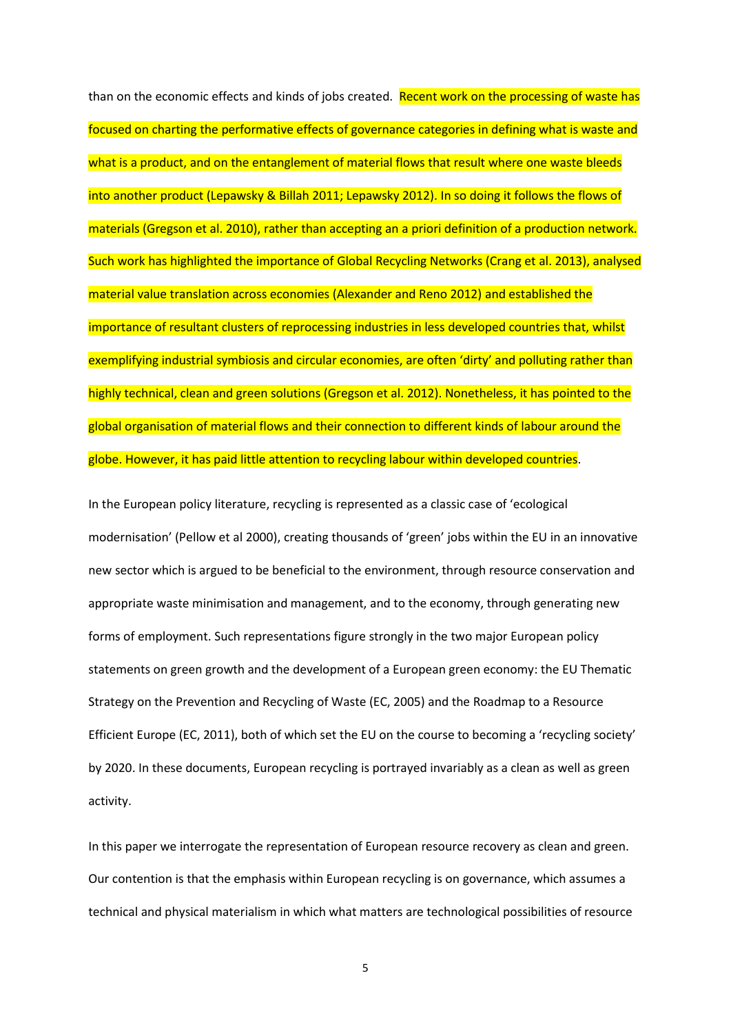than on the economic effects and kinds of jobs created. Recent work on the processing of waste has focused on charting the performative effects of governance categories in defining what is waste and what is a product, and on the entanglement of material flows that result where one waste bleeds into another product (Lepawsky & Billah 2011; Lepawsky 2012). In so doing it follows the flows of materials (Gregson et al. 2010), rather than accepting an a priori definition of a production network. Such work has highlighted the importance of Global Recycling Networks (Crang et al. 2013), analysed material value translation across economies (Alexander and Reno 2012) and established the importance of resultant clusters of reprocessing industries in less developed countries that, whilst exemplifying industrial symbiosis and circular economies, are often 'dirty' and polluting rather than highly technical, clean and green solutions (Gregson et al. 2012). Nonetheless, it has pointed to the global organisation of material flows and their connection to different kinds of labour around the globe. However, it has paid little attention to recycling labour within developed countries.

In the European policy literature, recycling is represented as a classic case of 'ecological modernisation' (Pellow et al 2000), creating thousands of 'green' jobs within the EU in an innovative new sector which is argued to be beneficial to the environment, through resource conservation and appropriate waste minimisation and management, and to the economy, through generating new forms of employment. Such representations figure strongly in the two major European policy statements on green growth and the development of a European green economy: the EU Thematic Strategy on the Prevention and Recycling of Waste (EC, 2005) and the Roadmap to a Resource Efficient Europe (EC, 2011), both of which set the EU on the course to becoming a 'recycling society' by 2020. In these documents, European recycling is portrayed invariably as a clean as well as green activity.

In this paper we interrogate the representation of European resource recovery as clean and green. Our contention is that the emphasis within European recycling is on governance, which assumes a technical and physical materialism in which what matters are technological possibilities of resource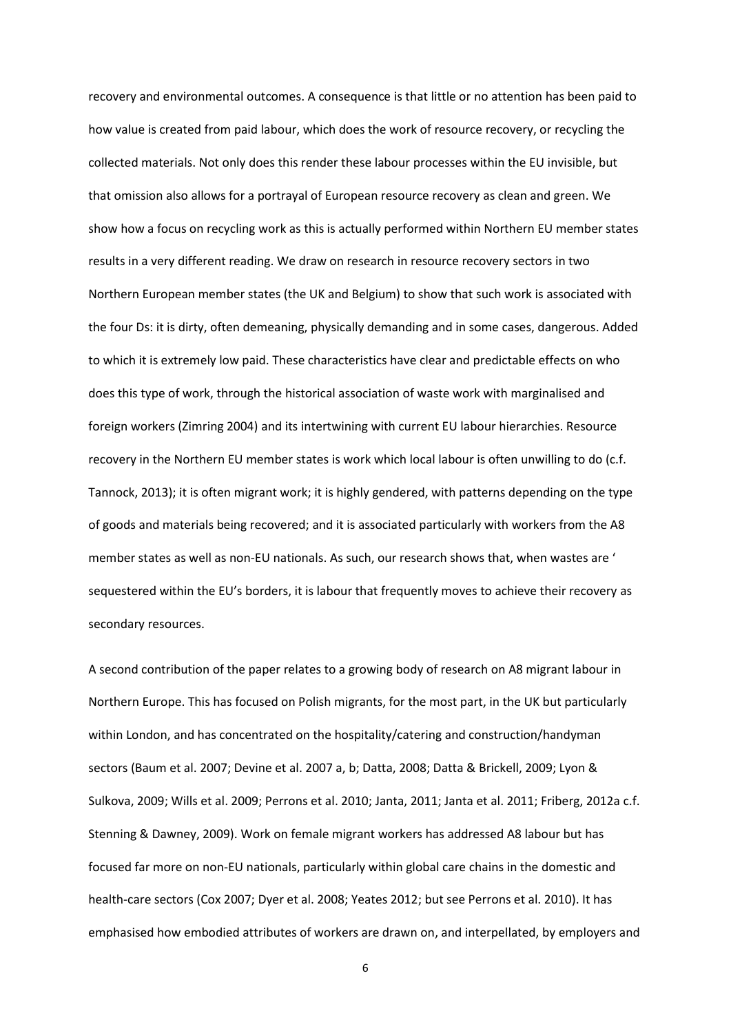recovery and environmental outcomes. A consequence is that little or no attention has been paid to how value is created from paid labour, which does the work of resource recovery, or recycling the collected materials. Not only does this render these labour processes within the EU invisible, but that omission also allows for a portrayal of European resource recovery as clean and green. We show how a focus on recycling work as this is actually performed within Northern EU member states results in a very different reading. We draw on research in resource recovery sectors in two Northern European member states (the UK and Belgium) to show that such work is associated with the four Ds: it is dirty, often demeaning, physically demanding and in some cases, dangerous. Added to which it is extremely low paid. These characteristics have clear and predictable effects on who does this type of work, through the historical association of waste work with marginalised and foreign workers (Zimring 2004) and its intertwining with current EU labour hierarchies. Resource recovery in the Northern EU member states is work which local labour is often unwilling to do (c.f. Tannock, 2013); it is often migrant work; it is highly gendered, with patterns depending on the type of goods and materials being recovered; and it is associated particularly with workers from the A8 member states as well as non-EU nationals. As such, our research shows that, when wastes are ' sequestered within the EU's borders, it is labour that frequently moves to achieve their recovery as secondary resources.

A second contribution of the paper relates to a growing body of research on A8 migrant labour in Northern Europe. This has focused on Polish migrants, for the most part, in the UK but particularly within London, and has concentrated on the hospitality/catering and construction/handyman sectors (Baum et al. 2007; Devine et al. 2007 a, b; Datta, 2008; Datta & Brickell, 2009; Lyon & Sulkova, 2009; Wills et al. 2009; Perrons et al. 2010; Janta, 2011; Janta et al. 2011; Friberg, 2012a c.f. Stenning & Dawney, 2009). Work on female migrant workers has addressed A8 labour but has focused far more on non-EU nationals, particularly within global care chains in the domestic and health-care sectors (Cox 2007; Dyer et al. 2008; Yeates 2012; but see Perrons et al. 2010). It has emphasised how embodied attributes of workers are drawn on, and interpellated, by employers and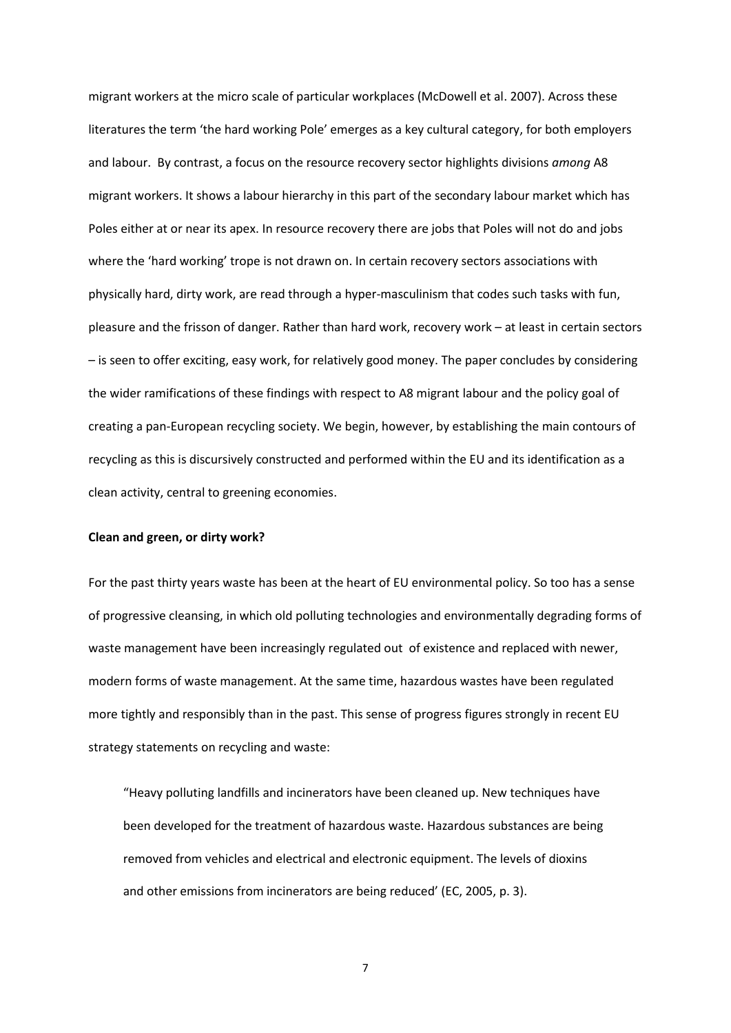migrant workers at the micro scale of particular workplaces (McDowell et al. 2007). Across these literatures the term 'the hard working Pole' emerges as a key cultural category, for both employers and labour. By contrast, a focus on the resource recovery sector highlights divisions *among* A8 migrant workers. It shows a labour hierarchy in this part of the secondary labour market which has Poles either at or near its apex. In resource recovery there are jobs that Poles will not do and jobs where the 'hard working' trope is not drawn on. In certain recovery sectors associations with physically hard, dirty work, are read through a hyper-masculinism that codes such tasks with fun, pleasure and the frisson of danger. Rather than hard work, recovery work – at least in certain sectors – is seen to offer exciting, easy work, for relatively good money. The paper concludes by considering the wider ramifications of these findings with respect to A8 migrant labour and the policy goal of creating a pan-European recycling society. We begin, however, by establishing the main contours of recycling as this is discursively constructed and performed within the EU and its identification as a clean activity, central to greening economies.

#### **Clean and green, or dirty work?**

For the past thirty years waste has been at the heart of EU environmental policy. So too has a sense of progressive cleansing, in which old polluting technologies and environmentally degrading forms of waste management have been increasingly regulated out of existence and replaced with newer, modern forms of waste management. At the same time, hazardous wastes have been regulated more tightly and responsibly than in the past. This sense of progress figures strongly in recent EU strategy statements on recycling and waste:

"Heavy polluting landfills and incinerators have been cleaned up. New techniques have been developed for the treatment of hazardous waste. Hazardous substances are being removed from vehicles and electrical and electronic equipment. The levels of dioxins and other emissions from incinerators are being reduced' (EC, 2005, p. 3).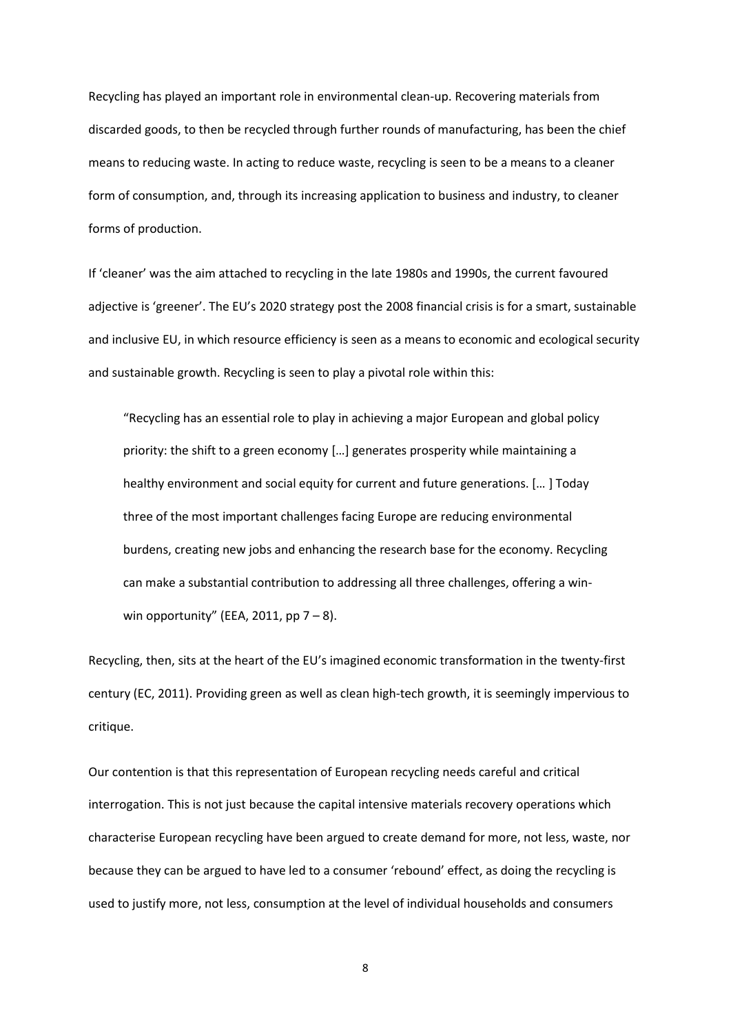Recycling has played an important role in environmental clean-up. Recovering materials from discarded goods, to then be recycled through further rounds of manufacturing, has been the chief means to reducing waste. In acting to reduce waste, recycling is seen to be a means to a cleaner form of consumption, and, through its increasing application to business and industry, to cleaner forms of production.

If 'cleaner' was the aim attached to recycling in the late 1980s and 1990s, the current favoured adjective is 'greener'. The EU's 2020 strategy post the 2008 financial crisis is for a smart, sustainable and inclusive EU, in which resource efficiency is seen as a means to economic and ecological security and sustainable growth. Recycling is seen to play a pivotal role within this:

"Recycling has an essential role to play in achieving a major European and global policy priority: the shift to a green economy […] generates prosperity while maintaining a healthy environment and social equity for current and future generations. [… ] Today three of the most important challenges facing Europe are reducing environmental burdens, creating new jobs and enhancing the research base for the economy. Recycling can make a substantial contribution to addressing all three challenges, offering a winwin opportunity" (EEA, 2011, pp  $7 - 8$ ).

Recycling, then, sits at the heart of the EU's imagined economic transformation in the twenty-first century (EC, 2011). Providing green as well as clean high-tech growth, it is seemingly impervious to critique.

Our contention is that this representation of European recycling needs careful and critical interrogation. This is not just because the capital intensive materials recovery operations which characterise European recycling have been argued to create demand for more, not less, waste, nor because they can be argued to have led to a consumer 'rebound' effect, as doing the recycling is used to justify more, not less, consumption at the level of individual households and consumers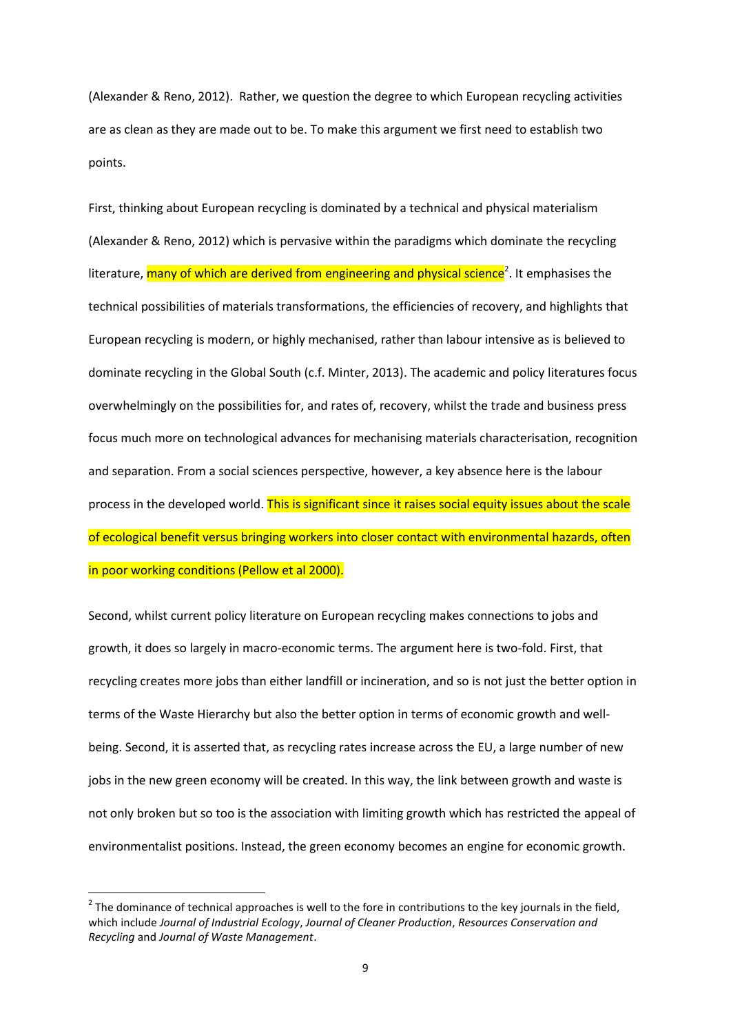(Alexander & Reno, 2012). Rather, we question the degree to which European recycling activities are as clean as they are made out to be. To make this argument we first need to establish two points.

First, thinking about European recycling is dominated by a technical and physical materialism (Alexander & Reno, 2012) which is pervasive within the paradigms which dominate the recycling literature, many of which are derived from engineering and physical science<sup>2</sup>. It emphasises the technical possibilities of materials transformations, the efficiencies of recovery, and highlights that European recycling is modern, or highly mechanised, rather than labour intensive as is believed to dominate recycling in the Global South (c.f. Minter, 2013). The academic and policy literatures focus overwhelmingly on the possibilities for, and rates of, recovery, whilst the trade and business press focus much more on technological advances for mechanising materials characterisation, recognition and separation. From a social sciences perspective, however, a key absence here is the labour process in the developed world. This is significant since it raises social equity issues about the scale of ecological benefit versus bringing workers into closer contact with environmental hazards, often in poor working conditions (Pellow et al 2000).

Second, whilst current policy literature on European recycling makes connections to jobs and growth, it does so largely in macro-economic terms. The argument here is two-fold. First, that recycling creates more jobs than either landfill or incineration, and so is not just the better option in terms of the Waste Hierarchy but also the better option in terms of economic growth and wellbeing. Second, it is asserted that, as recycling rates increase across the EU, a large number of new jobs in the new green economy will be created. In this way, the link between growth and waste is not only broken but so too is the association with limiting growth which has restricted the appeal of environmentalist positions. Instead, the green economy becomes an engine for economic growth.

**.** 

 $2$  The dominance of technical approaches is well to the fore in contributions to the key journals in the field, which include *Journal of Industrial Ecology*, *Journal of Cleaner Production*, *Resources Conservation and Recycling* and *Journal of Waste Management*.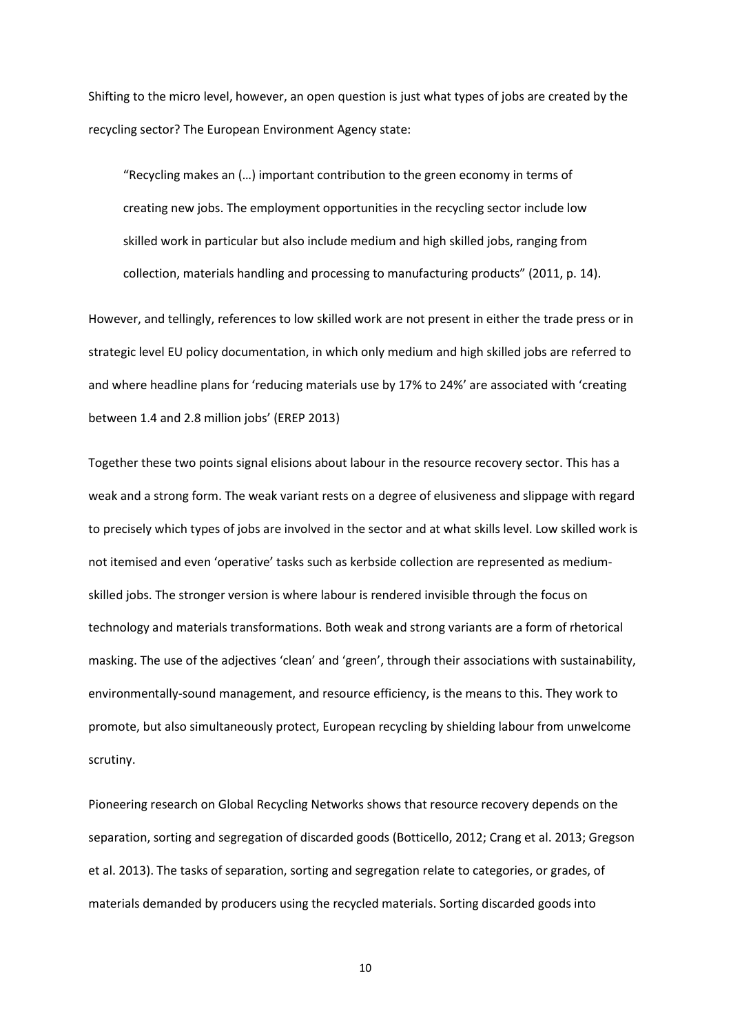Shifting to the micro level, however, an open question is just what types of jobs are created by the recycling sector? The European Environment Agency state:

"Recycling makes an (…) important contribution to the green economy in terms of creating new jobs. The employment opportunities in the recycling sector include low skilled work in particular but also include medium and high skilled jobs, ranging from collection, materials handling and processing to manufacturing products" (2011, p. 14).

However, and tellingly, references to low skilled work are not present in either the trade press or in strategic level EU policy documentation, in which only medium and high skilled jobs are referred to and where headline plans for 'reducing materials use by 17% to 24%' are associated with 'creating between 1.4 and 2.8 million jobs' (EREP 2013)

Together these two points signal elisions about labour in the resource recovery sector. This has a weak and a strong form. The weak variant rests on a degree of elusiveness and slippage with regard to precisely which types of jobs are involved in the sector and at what skills level. Low skilled work is not itemised and even 'operative' tasks such as kerbside collection are represented as mediumskilled jobs. The stronger version is where labour is rendered invisible through the focus on technology and materials transformations. Both weak and strong variants are a form of rhetorical masking. The use of the adjectives 'clean' and 'green', through their associations with sustainability, environmentally-sound management, and resource efficiency, is the means to this. They work to promote, but also simultaneously protect, European recycling by shielding labour from unwelcome scrutiny.

Pioneering research on Global Recycling Networks shows that resource recovery depends on the separation, sorting and segregation of discarded goods (Botticello, 2012; Crang et al. 2013; Gregson et al. 2013). The tasks of separation, sorting and segregation relate to categories, or grades, of materials demanded by producers using the recycled materials. Sorting discarded goods into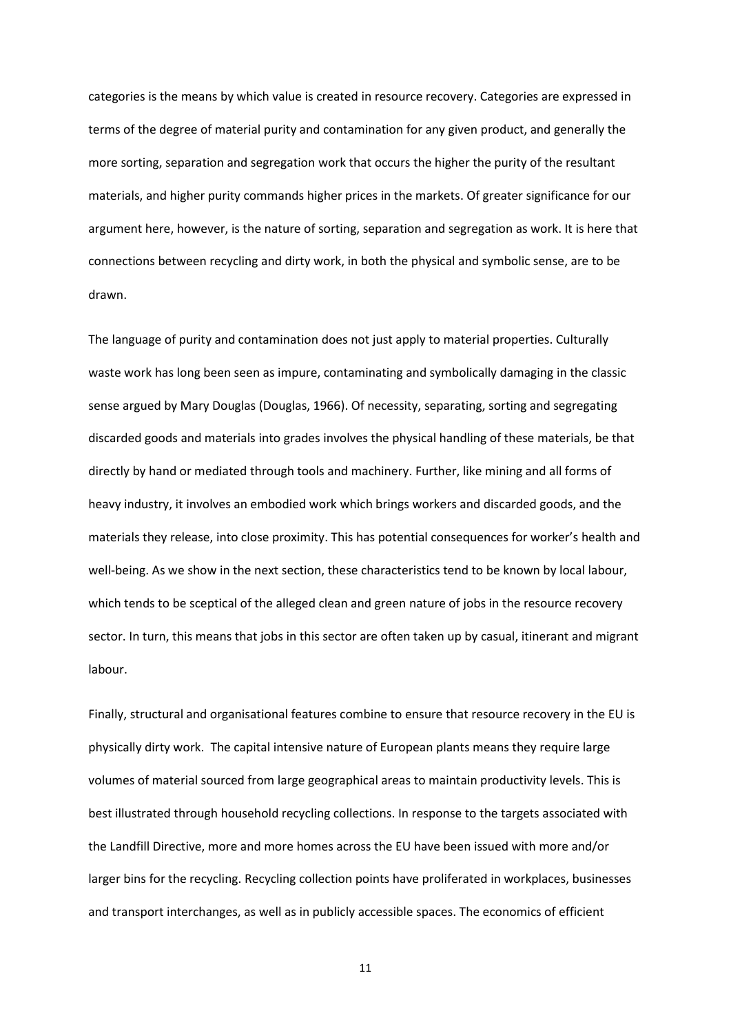categories is the means by which value is created in resource recovery. Categories are expressed in terms of the degree of material purity and contamination for any given product, and generally the more sorting, separation and segregation work that occurs the higher the purity of the resultant materials, and higher purity commands higher prices in the markets. Of greater significance for our argument here, however, is the nature of sorting, separation and segregation as work. It is here that connections between recycling and dirty work, in both the physical and symbolic sense, are to be drawn.

The language of purity and contamination does not just apply to material properties. Culturally waste work has long been seen as impure, contaminating and symbolically damaging in the classic sense argued by Mary Douglas (Douglas, 1966). Of necessity, separating, sorting and segregating discarded goods and materials into grades involves the physical handling of these materials, be that directly by hand or mediated through tools and machinery. Further, like mining and all forms of heavy industry, it involves an embodied work which brings workers and discarded goods, and the materials they release, into close proximity. This has potential consequences for worker's health and well-being. As we show in the next section, these characteristics tend to be known by local labour, which tends to be sceptical of the alleged clean and green nature of jobs in the resource recovery sector. In turn, this means that jobs in this sector are often taken up by casual, itinerant and migrant labour.

Finally, structural and organisational features combine to ensure that resource recovery in the EU is physically dirty work. The capital intensive nature of European plants means they require large volumes of material sourced from large geographical areas to maintain productivity levels. This is best illustrated through household recycling collections. In response to the targets associated with the Landfill Directive, more and more homes across the EU have been issued with more and/or larger bins for the recycling. Recycling collection points have proliferated in workplaces, businesses and transport interchanges, as well as in publicly accessible spaces. The economics of efficient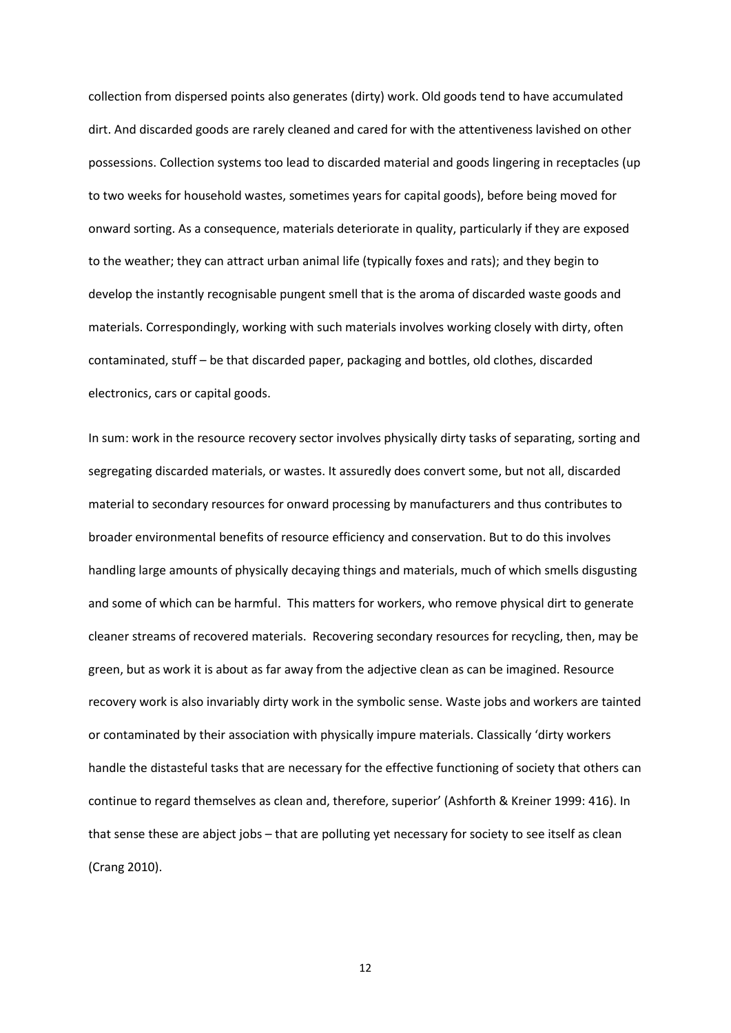collection from dispersed points also generates (dirty) work. Old goods tend to have accumulated dirt. And discarded goods are rarely cleaned and cared for with the attentiveness lavished on other possessions. Collection systems too lead to discarded material and goods lingering in receptacles (up to two weeks for household wastes, sometimes years for capital goods), before being moved for onward sorting. As a consequence, materials deteriorate in quality, particularly if they are exposed to the weather; they can attract urban animal life (typically foxes and rats); and they begin to develop the instantly recognisable pungent smell that is the aroma of discarded waste goods and materials. Correspondingly, working with such materials involves working closely with dirty, often contaminated, stuff – be that discarded paper, packaging and bottles, old clothes, discarded electronics, cars or capital goods.

In sum: work in the resource recovery sector involves physically dirty tasks of separating, sorting and segregating discarded materials, or wastes. It assuredly does convert some, but not all, discarded material to secondary resources for onward processing by manufacturers and thus contributes to broader environmental benefits of resource efficiency and conservation. But to do this involves handling large amounts of physically decaying things and materials, much of which smells disgusting and some of which can be harmful. This matters for workers, who remove physical dirt to generate cleaner streams of recovered materials. Recovering secondary resources for recycling, then, may be green, but as work it is about as far away from the adjective clean as can be imagined. Resource recovery work is also invariably dirty work in the symbolic sense. Waste jobs and workers are tainted or contaminated by their association with physically impure materials. Classically 'dirty workers handle the distasteful tasks that are necessary for the effective functioning of society that others can continue to regard themselves as clean and, therefore, superior' (Ashforth & Kreiner 1999: 416). In that sense these are abject jobs – that are polluting yet necessary for society to see itself as clean (Crang 2010).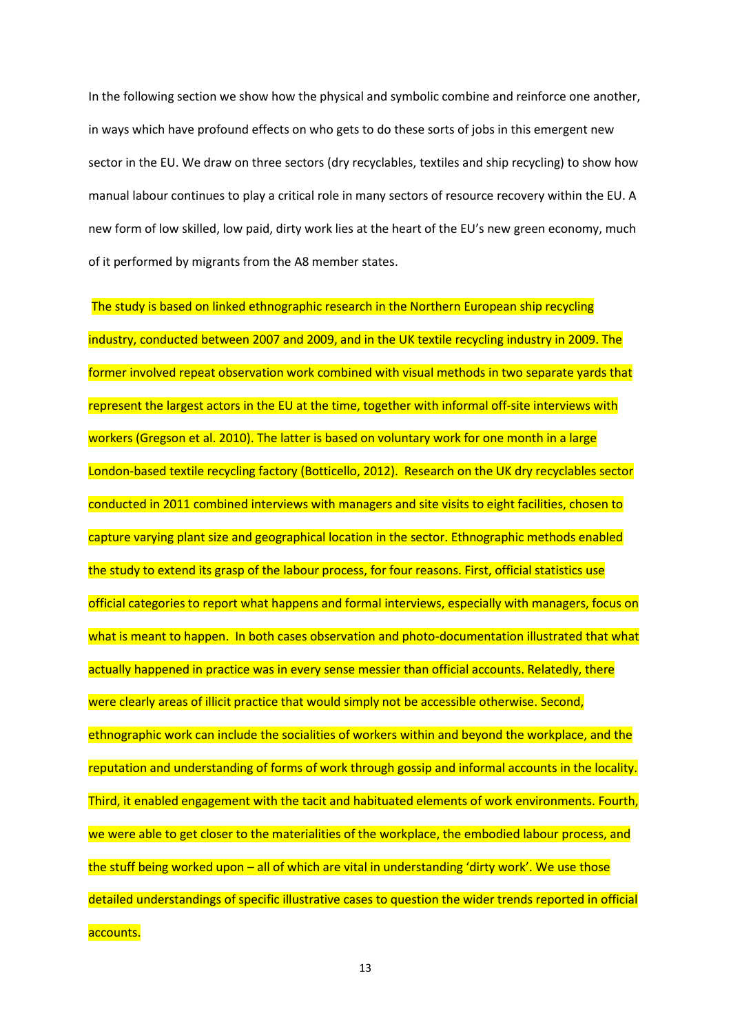In the following section we show how the physical and symbolic combine and reinforce one another, in ways which have profound effects on who gets to do these sorts of jobs in this emergent new sector in the EU. We draw on three sectors (dry recyclables, textiles and ship recycling) to show how manual labour continues to play a critical role in many sectors of resource recovery within the EU. A new form of low skilled, low paid, dirty work lies at the heart of the EU's new green economy, much of it performed by migrants from the A8 member states.

The study is based on linked ethnographic research in the Northern European ship recycling industry, conducted between 2007 and 2009, and in the UK textile recycling industry in 2009. The former involved repeat observation work combined with visual methods in two separate yards that represent the largest actors in the EU at the time, together with informal off-site interviews with workers (Gregson et al. 2010). The latter is based on voluntary work for one month in a large London-based textile recycling factory (Botticello, 2012). Research on the UK dry recyclables sector conducted in 2011 combined interviews with managers and site visits to eight facilities, chosen to capture varying plant size and geographical location in the sector. Ethnographic methods enabled the study to extend its grasp of the labour process, for four reasons. First, official statistics use official categories to report what happens and formal interviews, especially with managers, focus on what is meant to happen. In both cases observation and photo-documentation illustrated that what actually happened in practice was in every sense messier than official accounts. Relatedly, there were clearly areas of illicit practice that would simply not be accessible otherwise. Second, ethnographic work can include the socialities of workers within and beyond the workplace, and the reputation and understanding of forms of work through gossip and informal accounts in the locality. Third, it enabled engagement with the tacit and habituated elements of work environments. Fourth, we were able to get closer to the materialities of the workplace, the embodied labour process, and the stuff being worked upon – all of which are vital in understanding 'dirty work'. We use those detailed understandings of specific illustrative cases to question the wider trends reported in official accounts.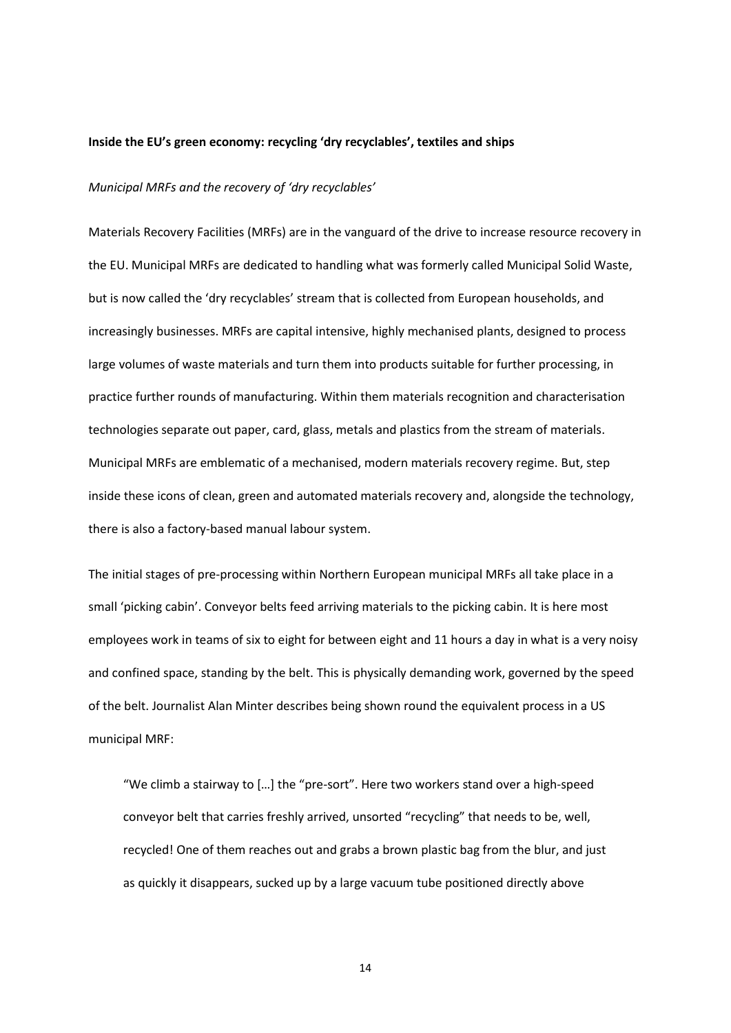# **Inside the EU's green economy: recycling 'dry recyclables', textiles and ships**

#### *Municipal MRFs and the recovery of 'dry recyclables'*

Materials Recovery Facilities (MRFs) are in the vanguard of the drive to increase resource recovery in the EU. Municipal MRFs are dedicated to handling what was formerly called Municipal Solid Waste, but is now called the 'dry recyclables' stream that is collected from European households, and increasingly businesses. MRFs are capital intensive, highly mechanised plants, designed to process large volumes of waste materials and turn them into products suitable for further processing, in practice further rounds of manufacturing. Within them materials recognition and characterisation technologies separate out paper, card, glass, metals and plastics from the stream of materials. Municipal MRFs are emblematic of a mechanised, modern materials recovery regime. But, step inside these icons of clean, green and automated materials recovery and, alongside the technology, there is also a factory-based manual labour system.

The initial stages of pre-processing within Northern European municipal MRFs all take place in a small 'picking cabin'. Conveyor belts feed arriving materials to the picking cabin. It is here most employees work in teams of six to eight for between eight and 11 hours a day in what is a very noisy and confined space, standing by the belt. This is physically demanding work, governed by the speed of the belt. Journalist Alan Minter describes being shown round the equivalent process in a US municipal MRF:

"We climb a stairway to […] the "pre-sort". Here two workers stand over a high-speed conveyor belt that carries freshly arrived, unsorted "recycling" that needs to be, well, recycled! One of them reaches out and grabs a brown plastic bag from the blur, and just as quickly it disappears, sucked up by a large vacuum tube positioned directly above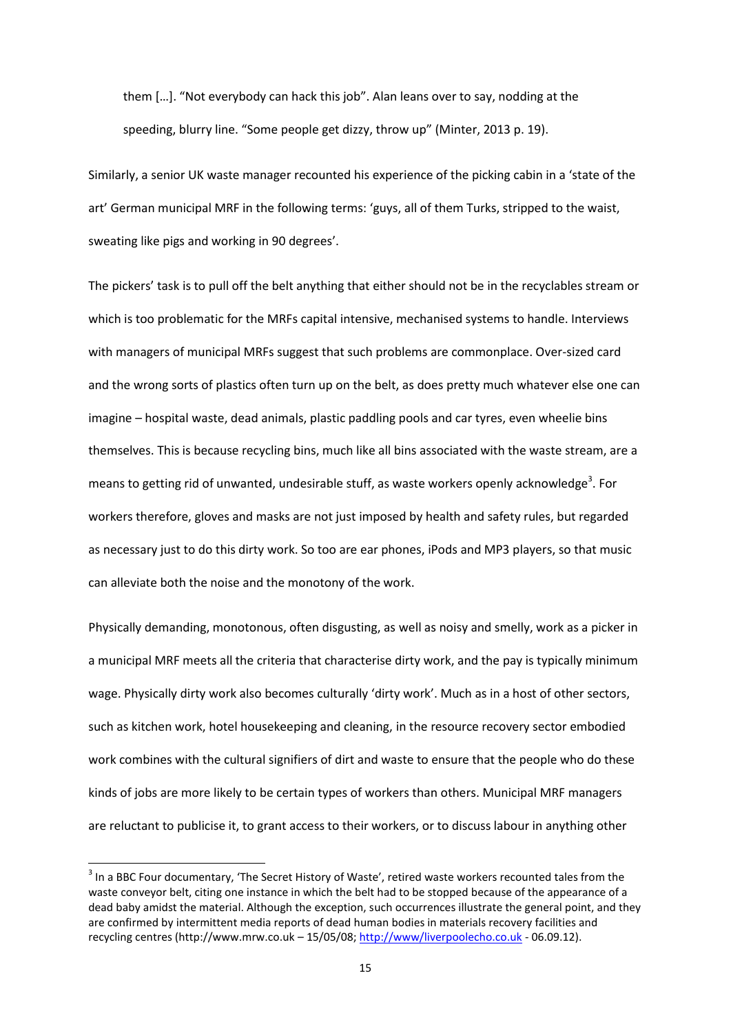them […]. "Not everybody can hack this job". Alan leans over to say, nodding at the speeding, blurry line. "Some people get dizzy, throw up" (Minter, 2013 p. 19).

Similarly, a senior UK waste manager recounted his experience of the picking cabin in a 'state of the art' German municipal MRF in the following terms: 'guys, all of them Turks, stripped to the waist, sweating like pigs and working in 90 degrees'.

The pickers' task is to pull off the belt anything that either should not be in the recyclables stream or which is too problematic for the MRFs capital intensive, mechanised systems to handle. Interviews with managers of municipal MRFs suggest that such problems are commonplace. Over-sized card and the wrong sorts of plastics often turn up on the belt, as does pretty much whatever else one can imagine – hospital waste, dead animals, plastic paddling pools and car tyres, even wheelie bins themselves. This is because recycling bins, much like all bins associated with the waste stream, are a means to getting rid of unwanted, undesirable stuff, as waste workers openly acknowledge<sup>3</sup>. For workers therefore, gloves and masks are not just imposed by health and safety rules, but regarded as necessary just to do this dirty work. So too are ear phones, iPods and MP3 players, so that music can alleviate both the noise and the monotony of the work.

Physically demanding, monotonous, often disgusting, as well as noisy and smelly, work as a picker in a municipal MRF meets all the criteria that characterise dirty work, and the pay is typically minimum wage. Physically dirty work also becomes culturally 'dirty work'. Much as in a host of other sectors, such as kitchen work, hotel housekeeping and cleaning, in the resource recovery sector embodied work combines with the cultural signifiers of dirt and waste to ensure that the people who do these kinds of jobs are more likely to be certain types of workers than others. Municipal MRF managers are reluctant to publicise it, to grant access to their workers, or to discuss labour in anything other

 $\overline{a}$ 

 $3$  In a BBC Four documentary, 'The Secret History of Waste', retired waste workers recounted tales from the waste conveyor belt, citing one instance in which the belt had to be stopped because of the appearance of a dead baby amidst the material. Although the exception, such occurrences illustrate the general point, and they are confirmed by intermittent media reports of dead human bodies in materials recovery facilities and recycling centres (http://www.mrw.co.uk – 15/05/08;<http://www/liverpoolecho.co.uk> - 06.09.12).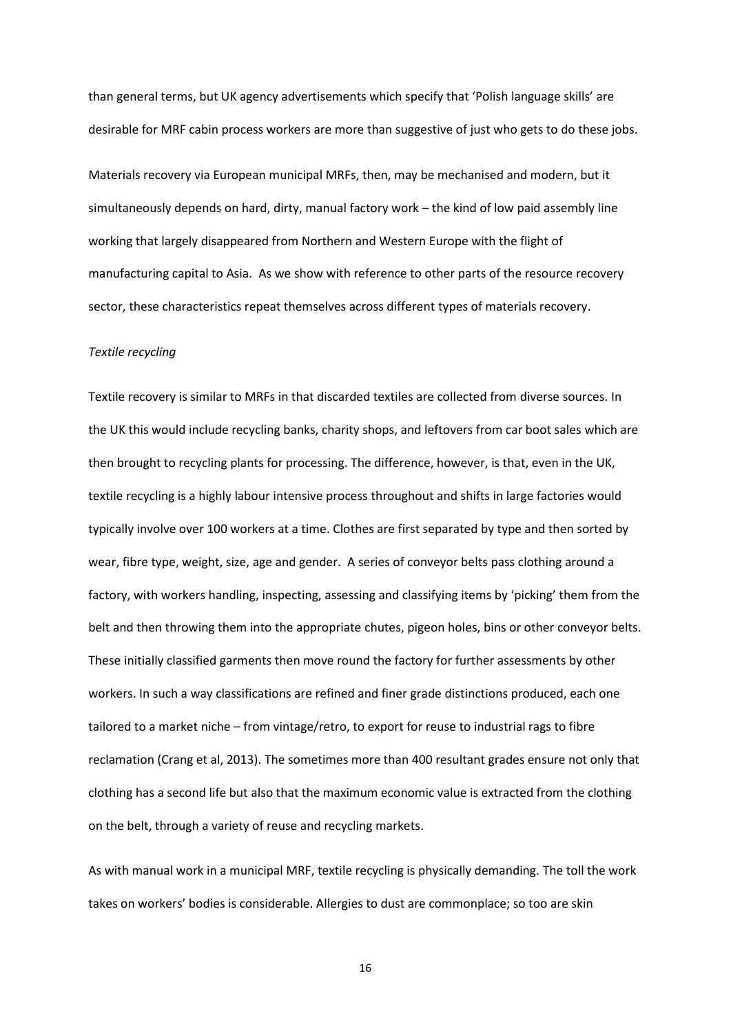than general terms, but UK agency advertisements which specify that 'Polish language skills' are desirable for MRF cabin process workers are more than suggestive of just who gets to do these jobs.

Materials recovery via European municipal MRFs, then, may be mechanised and modern, but it simultaneously depends on hard, dirty, manual factory work – the kind of low paid assembly line working that largely disappeared from Northern and Western Europe with the flight of manufacturing capital to Asia. As we show with reference to other parts of the resource recovery sector, these characteristics repeat themselves across different types of materials recovery.

#### *Textile recycling*

Textile recovery is similar to MRFs in that discarded textiles are collected from diverse sources. In the UK this would include recycling banks, charity shops, and leftovers from car boot sales which are then brought to recycling plants for processing. The difference, however, is that, even in the UK, textile recycling is a highly labour intensive process throughout and shifts in large factories would typically involve over 100 workers at a time. Clothes are first separated by type and then sorted by wear, fibre type, weight, size, age and gender. A series of conveyor belts pass clothing around a factory, with workers handling, inspecting, assessing and classifying items by 'picking' them from the belt and then throwing them into the appropriate chutes, pigeon holes, bins or other conveyor belts. These initially classified garments then move round the factory for further assessments by other workers. In such a way classifications are refined and finer grade distinctions produced, each one tailored to a market niche – from vintage/retro, to export for reuse to industrial rags to fibre reclamation (Crang et al, 2013). The sometimes more than 400 resultant grades ensure not only that clothing has a second life but also that the maximum economic value is extracted from the clothing on the belt, through a variety of reuse and recycling markets.

As with manual work in a municipal MRF, textile recycling is physically demanding. The toll the work takes on workers' bodies is considerable. Allergies to dust are commonplace; so too are skin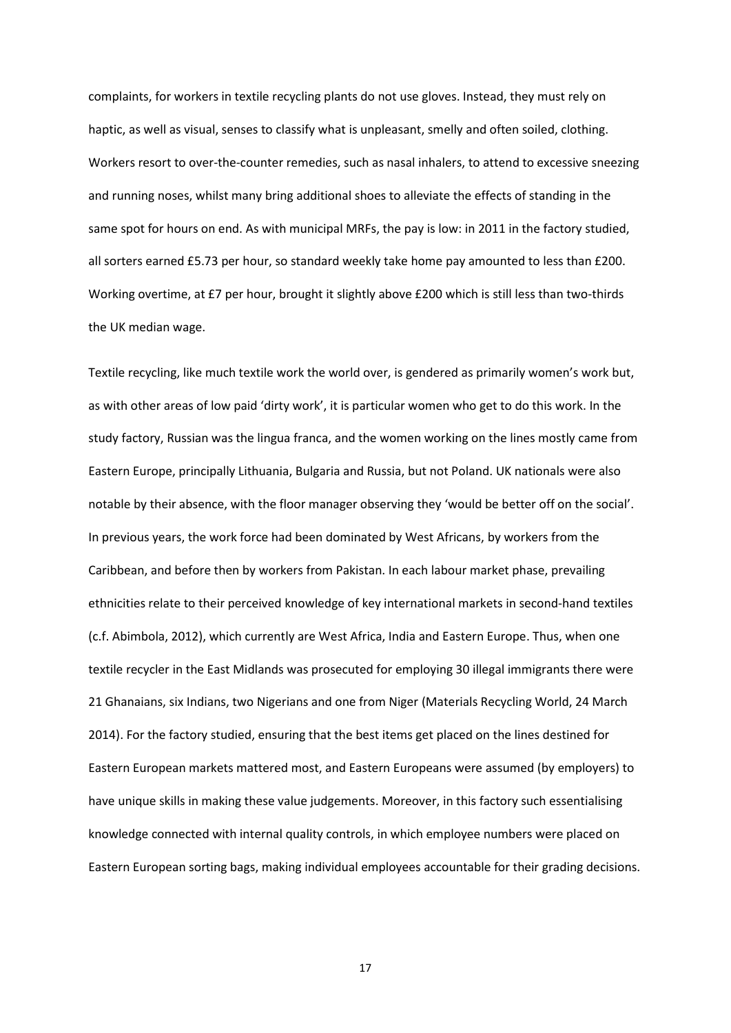complaints, for workers in textile recycling plants do not use gloves. Instead, they must rely on haptic, as well as visual, senses to classify what is unpleasant, smelly and often soiled, clothing. Workers resort to over-the-counter remedies, such as nasal inhalers, to attend to excessive sneezing and running noses, whilst many bring additional shoes to alleviate the effects of standing in the same spot for hours on end. As with municipal MRFs, the pay is low: in 2011 in the factory studied, all sorters earned £5.73 per hour, so standard weekly take home pay amounted to less than £200. Working overtime, at £7 per hour, brought it slightly above £200 which is still less than two-thirds the UK median wage.

Textile recycling, like much textile work the world over, is gendered as primarily women's work but, as with other areas of low paid 'dirty work', it is particular women who get to do this work. In the study factory, Russian was the lingua franca, and the women working on the lines mostly came from Eastern Europe, principally Lithuania, Bulgaria and Russia, but not Poland. UK nationals were also notable by their absence, with the floor manager observing they 'would be better off on the social'. In previous years, the work force had been dominated by West Africans, by workers from the Caribbean, and before then by workers from Pakistan. In each labour market phase, prevailing ethnicities relate to their perceived knowledge of key international markets in second-hand textiles (c.f. Abimbola, 2012), which currently are West Africa, India and Eastern Europe. Thus, when one textile recycler in the East Midlands was prosecuted for employing 30 illegal immigrants there were 21 Ghanaians, six Indians, two Nigerians and one from Niger (Materials Recycling World, 24 March 2014). For the factory studied, ensuring that the best items get placed on the lines destined for Eastern European markets mattered most, and Eastern Europeans were assumed (by employers) to have unique skills in making these value judgements. Moreover, in this factory such essentialising knowledge connected with internal quality controls, in which employee numbers were placed on Eastern European sorting bags, making individual employees accountable for their grading decisions.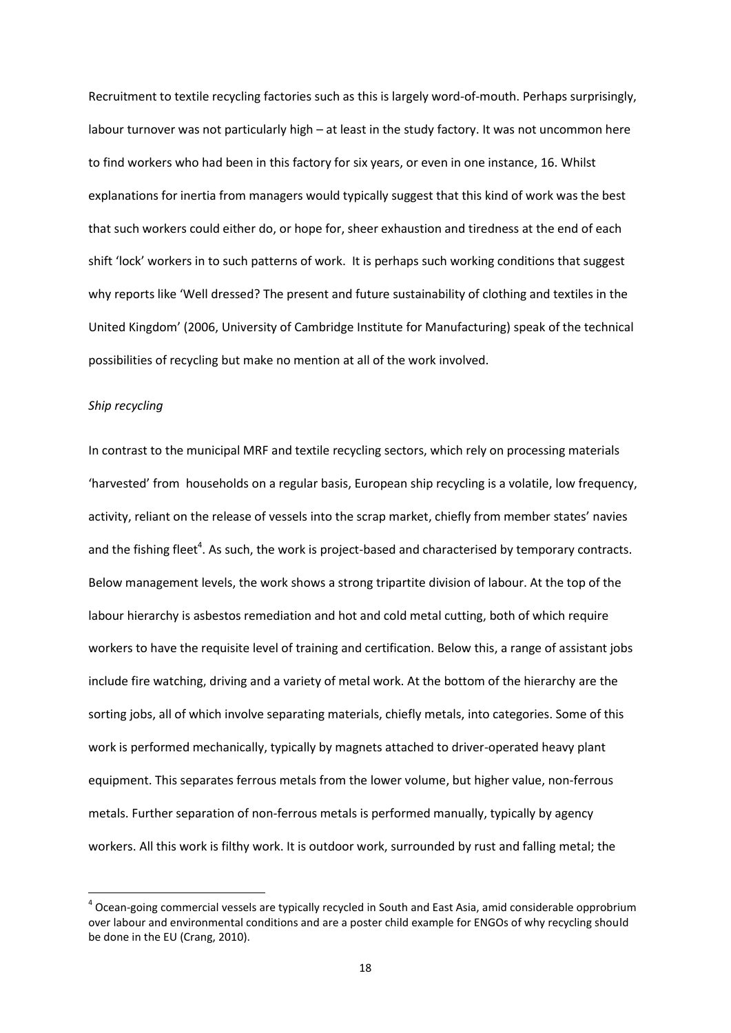Recruitment to textile recycling factories such as this is largely word-of-mouth. Perhaps surprisingly, labour turnover was not particularly high – at least in the study factory. It was not uncommon here to find workers who had been in this factory for six years, or even in one instance, 16. Whilst explanations for inertia from managers would typically suggest that this kind of work was the best that such workers could either do, or hope for, sheer exhaustion and tiredness at the end of each shift 'lock' workers in to such patterns of work. It is perhaps such working conditions that suggest why reports like 'Well dressed? The present and future sustainability of clothing and textiles in the United Kingdom' (2006, University of Cambridge Institute for Manufacturing) speak of the technical possibilities of recycling but make no mention at all of the work involved.

#### *Ship recycling*

**.** 

In contrast to the municipal MRF and textile recycling sectors, which rely on processing materials 'harvested' from households on a regular basis, European ship recycling is a volatile, low frequency, activity, reliant on the release of vessels into the scrap market, chiefly from member states' navies and the fishing fleet<sup>4</sup>. As such, the work is project-based and characterised by temporary contracts. Below management levels, the work shows a strong tripartite division of labour. At the top of the labour hierarchy is asbestos remediation and hot and cold metal cutting, both of which require workers to have the requisite level of training and certification. Below this, a range of assistant jobs include fire watching, driving and a variety of metal work. At the bottom of the hierarchy are the sorting jobs, all of which involve separating materials, chiefly metals, into categories. Some of this work is performed mechanically, typically by magnets attached to driver-operated heavy plant equipment. This separates ferrous metals from the lower volume, but higher value, non-ferrous metals. Further separation of non-ferrous metals is performed manually, typically by agency workers. All this work is filthy work. It is outdoor work, surrounded by rust and falling metal; the

<sup>&</sup>lt;sup>4</sup> Ocean-going commercial vessels are typically recycled in South and East Asia, amid considerable opprobrium over labour and environmental conditions and are a poster child example for ENGOs of why recycling should be done in the EU (Crang, 2010).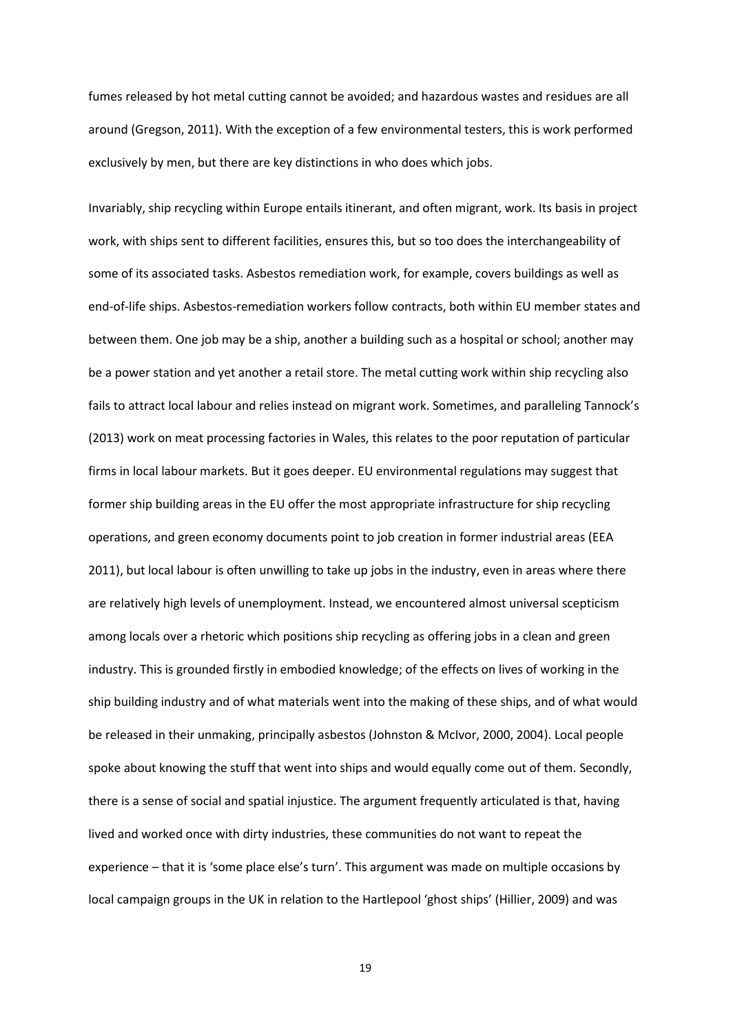fumes released by hot metal cutting cannot be avoided; and hazardous wastes and residues are all around (Gregson, 2011). With the exception of a few environmental testers, this is work performed exclusively by men, but there are key distinctions in who does which jobs.

Invariably, ship recycling within Europe entails itinerant, and often migrant, work. Its basis in project work, with ships sent to different facilities, ensures this, but so too does the interchangeability of some of its associated tasks. Asbestos remediation work, for example, covers buildings as well as end-of-life ships. Asbestos-remediation workers follow contracts, both within EU member states and between them. One job may be a ship, another a building such as a hospital or school; another may be a power station and yet another a retail store. The metal cutting work within ship recycling also fails to attract local labour and relies instead on migrant work. Sometimes, and paralleling Tannock's (2013) work on meat processing factories in Wales, this relates to the poor reputation of particular firms in local labour markets. But it goes deeper. EU environmental regulations may suggest that former ship building areas in the EU offer the most appropriate infrastructure for ship recycling operations, and green economy documents point to job creation in former industrial areas (EEA 2011), but local labour is often unwilling to take up jobs in the industry, even in areas where there are relatively high levels of unemployment. Instead, we encountered almost universal scepticism among locals over a rhetoric which positions ship recycling as offering jobs in a clean and green industry. This is grounded firstly in embodied knowledge; of the effects on lives of working in the ship building industry and of what materials went into the making of these ships, and of what would be released in their unmaking, principally asbestos (Johnston & McIvor, 2000, 2004). Local people spoke about knowing the stuff that went into ships and would equally come out of them. Secondly, there is a sense of social and spatial injustice. The argument frequently articulated is that, having lived and worked once with dirty industries, these communities do not want to repeat the experience – that it is 'some place else's turn'. This argument was made on multiple occasions by local campaign groups in the UK in relation to the Hartlepool 'ghost ships' (Hillier, 2009) and was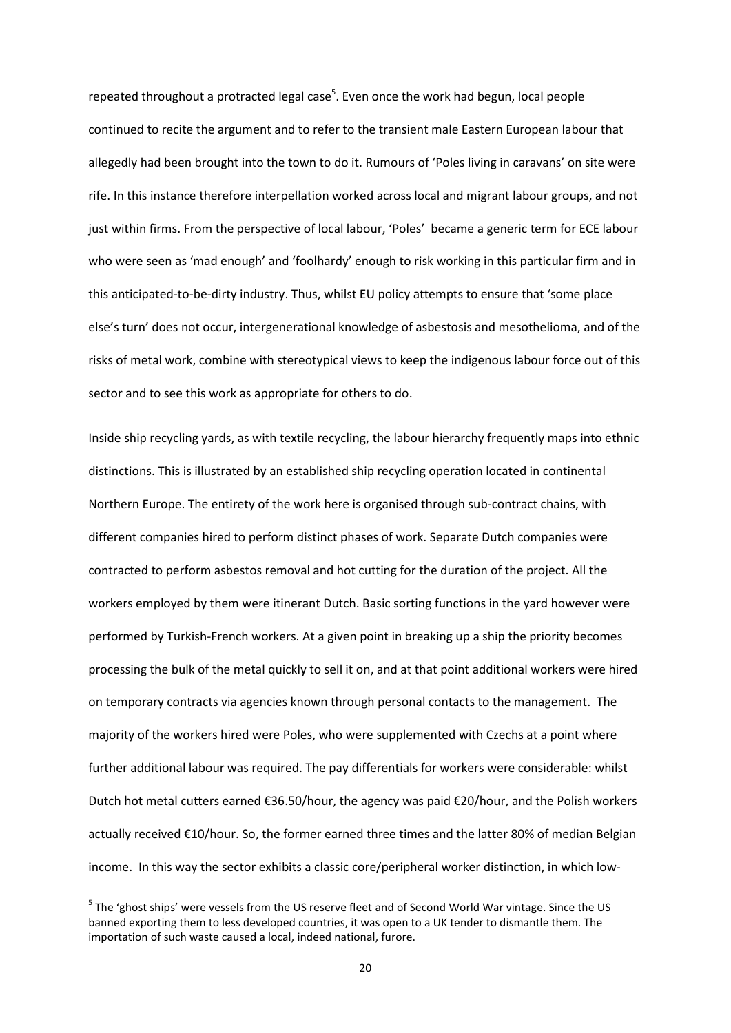repeated throughout a protracted legal case<sup>5</sup>. Even once the work had begun, local people continued to recite the argument and to refer to the transient male Eastern European labour that allegedly had been brought into the town to do it. Rumours of 'Poles living in caravans' on site were rife. In this instance therefore interpellation worked across local and migrant labour groups, and not just within firms. From the perspective of local labour, 'Poles' became a generic term for ECE labour who were seen as 'mad enough' and 'foolhardy' enough to risk working in this particular firm and in this anticipated-to-be-dirty industry. Thus, whilst EU policy attempts to ensure that 'some place else's turn' does not occur, intergenerational knowledge of asbestosis and mesothelioma, and of the risks of metal work, combine with stereotypical views to keep the indigenous labour force out of this sector and to see this work as appropriate for others to do.

Inside ship recycling yards, as with textile recycling, the labour hierarchy frequently maps into ethnic distinctions. This is illustrated by an established ship recycling operation located in continental Northern Europe. The entirety of the work here is organised through sub-contract chains, with different companies hired to perform distinct phases of work. Separate Dutch companies were contracted to perform asbestos removal and hot cutting for the duration of the project. All the workers employed by them were itinerant Dutch. Basic sorting functions in the yard however were performed by Turkish-French workers. At a given point in breaking up a ship the priority becomes processing the bulk of the metal quickly to sell it on, and at that point additional workers were hired on temporary contracts via agencies known through personal contacts to the management. The majority of the workers hired were Poles, who were supplemented with Czechs at a point where further additional labour was required. The pay differentials for workers were considerable: whilst Dutch hot metal cutters earned €36.50/hour, the agency was paid €20/hour, and the Polish workers actually received €10/hour. So, the former earned three times and the latter 80% of median Belgian income. In this way the sector exhibits a classic core/peripheral worker distinction, in which low-

**.** 

<sup>&</sup>lt;sup>5</sup> The 'ghost ships' were vessels from the US reserve fleet and of Second World War vintage. Since the US banned exporting them to less developed countries, it was open to a UK tender to dismantle them. The importation of such waste caused a local, indeed national, furore.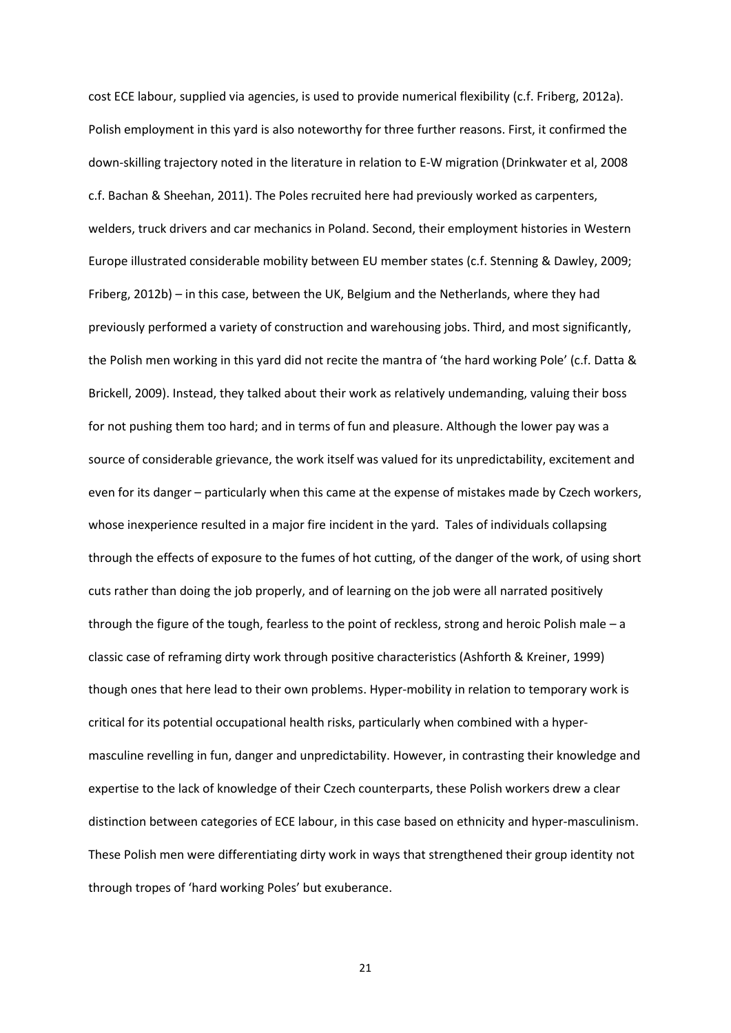cost ECE labour, supplied via agencies, is used to provide numerical flexibility (c.f. Friberg, 2012a). Polish employment in this yard is also noteworthy for three further reasons. First, it confirmed the down-skilling trajectory noted in the literature in relation to E-W migration (Drinkwater et al, 2008 c.f. Bachan & Sheehan, 2011). The Poles recruited here had previously worked as carpenters, welders, truck drivers and car mechanics in Poland. Second, their employment histories in Western Europe illustrated considerable mobility between EU member states (c.f. Stenning & Dawley, 2009; Friberg, 2012b) – in this case, between the UK, Belgium and the Netherlands, where they had previously performed a variety of construction and warehousing jobs. Third, and most significantly, the Polish men working in this yard did not recite the mantra of 'the hard working Pole' (c.f. Datta & Brickell, 2009). Instead, they talked about their work as relatively undemanding, valuing their boss for not pushing them too hard; and in terms of fun and pleasure. Although the lower pay was a source of considerable grievance, the work itself was valued for its unpredictability, excitement and even for its danger – particularly when this came at the expense of mistakes made by Czech workers, whose inexperience resulted in a major fire incident in the yard. Tales of individuals collapsing through the effects of exposure to the fumes of hot cutting, of the danger of the work, of using short cuts rather than doing the job properly, and of learning on the job were all narrated positively through the figure of the tough, fearless to the point of reckless, strong and heroic Polish male – a classic case of reframing dirty work through positive characteristics (Ashforth & Kreiner, 1999) though ones that here lead to their own problems. Hyper-mobility in relation to temporary work is critical for its potential occupational health risks, particularly when combined with a hypermasculine revelling in fun, danger and unpredictability. However, in contrasting their knowledge and expertise to the lack of knowledge of their Czech counterparts, these Polish workers drew a clear distinction between categories of ECE labour, in this case based on ethnicity and hyper-masculinism. These Polish men were differentiating dirty work in ways that strengthened their group identity not through tropes of 'hard working Poles' but exuberance.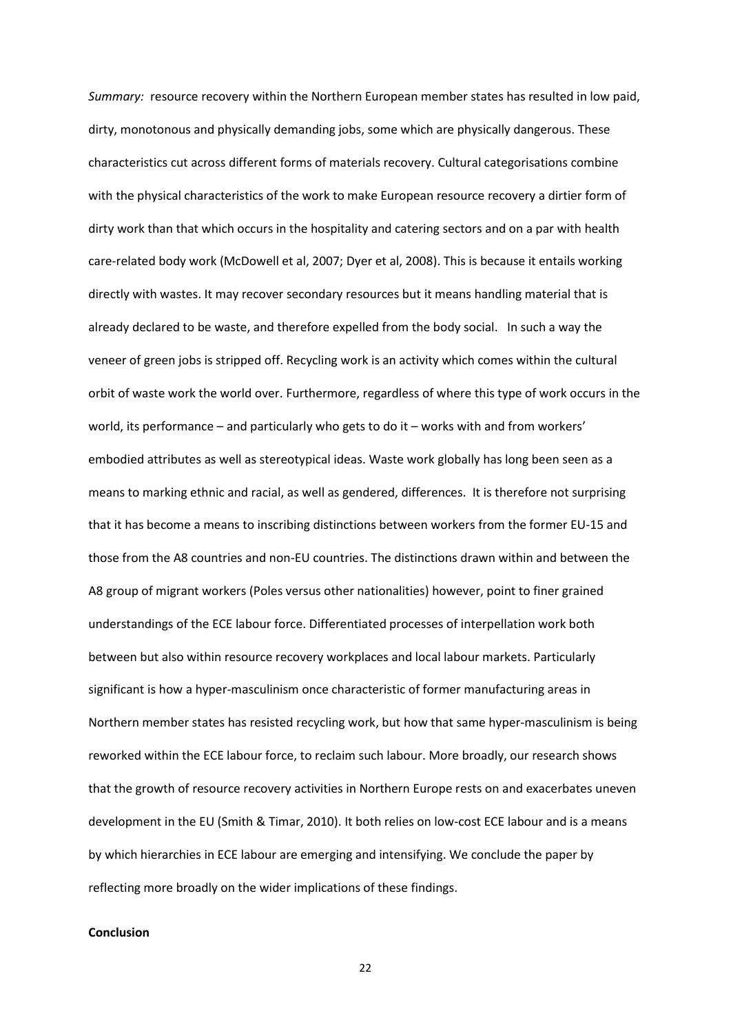*Summary:* resource recovery within the Northern European member states has resulted in low paid, dirty, monotonous and physically demanding jobs, some which are physically dangerous. These characteristics cut across different forms of materials recovery. Cultural categorisations combine with the physical characteristics of the work to make European resource recovery a dirtier form of dirty work than that which occurs in the hospitality and catering sectors and on a par with health care-related body work (McDowell et al, 2007; Dyer et al, 2008). This is because it entails working directly with wastes. It may recover secondary resources but it means handling material that is already declared to be waste, and therefore expelled from the body social. In such a way the veneer of green jobs is stripped off. Recycling work is an activity which comes within the cultural orbit of waste work the world over. Furthermore, regardless of where this type of work occurs in the world, its performance – and particularly who gets to do it – works with and from workers' embodied attributes as well as stereotypical ideas. Waste work globally has long been seen as a means to marking ethnic and racial, as well as gendered, differences. It is therefore not surprising that it has become a means to inscribing distinctions between workers from the former EU-15 and those from the A8 countries and non-EU countries. The distinctions drawn within and between the A8 group of migrant workers (Poles versus other nationalities) however, point to finer grained understandings of the ECE labour force. Differentiated processes of interpellation work both between but also within resource recovery workplaces and local labour markets. Particularly significant is how a hyper-masculinism once characteristic of former manufacturing areas in Northern member states has resisted recycling work, but how that same hyper-masculinism is being reworked within the ECE labour force, to reclaim such labour. More broadly, our research shows that the growth of resource recovery activities in Northern Europe rests on and exacerbates uneven development in the EU (Smith & Timar, 2010). It both relies on low-cost ECE labour and is a means by which hierarchies in ECE labour are emerging and intensifying. We conclude the paper by reflecting more broadly on the wider implications of these findings.

### **Conclusion**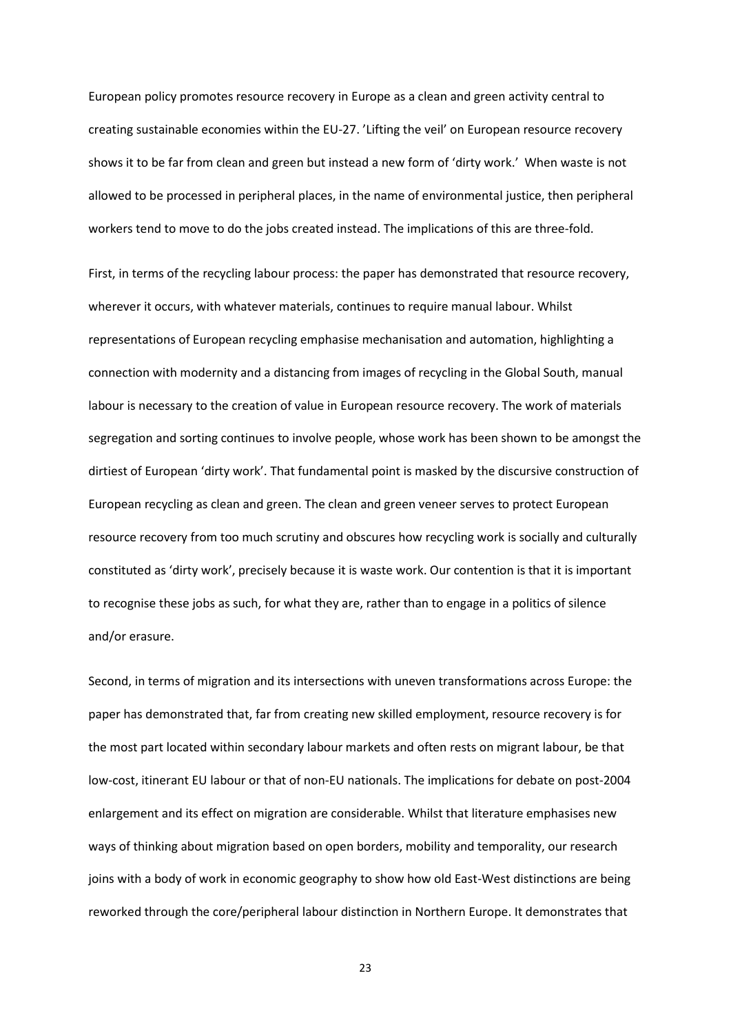European policy promotes resource recovery in Europe as a clean and green activity central to creating sustainable economies within the EU-27. 'Lifting the veil' on European resource recovery shows it to be far from clean and green but instead a new form of 'dirty work.' When waste is not allowed to be processed in peripheral places, in the name of environmental justice, then peripheral workers tend to move to do the jobs created instead. The implications of this are three-fold.

First, in terms of the recycling labour process: the paper has demonstrated that resource recovery, wherever it occurs, with whatever materials, continues to require manual labour. Whilst representations of European recycling emphasise mechanisation and automation, highlighting a connection with modernity and a distancing from images of recycling in the Global South, manual labour is necessary to the creation of value in European resource recovery. The work of materials segregation and sorting continues to involve people, whose work has been shown to be amongst the dirtiest of European 'dirty work'. That fundamental point is masked by the discursive construction of European recycling as clean and green. The clean and green veneer serves to protect European resource recovery from too much scrutiny and obscures how recycling work is socially and culturally constituted as 'dirty work', precisely because it is waste work. Our contention is that it is important to recognise these jobs as such, for what they are, rather than to engage in a politics of silence and/or erasure.

Second, in terms of migration and its intersections with uneven transformations across Europe: the paper has demonstrated that, far from creating new skilled employment, resource recovery is for the most part located within secondary labour markets and often rests on migrant labour, be that low-cost, itinerant EU labour or that of non-EU nationals. The implications for debate on post-2004 enlargement and its effect on migration are considerable. Whilst that literature emphasises new ways of thinking about migration based on open borders, mobility and temporality, our research joins with a body of work in economic geography to show how old East-West distinctions are being reworked through the core/peripheral labour distinction in Northern Europe. It demonstrates that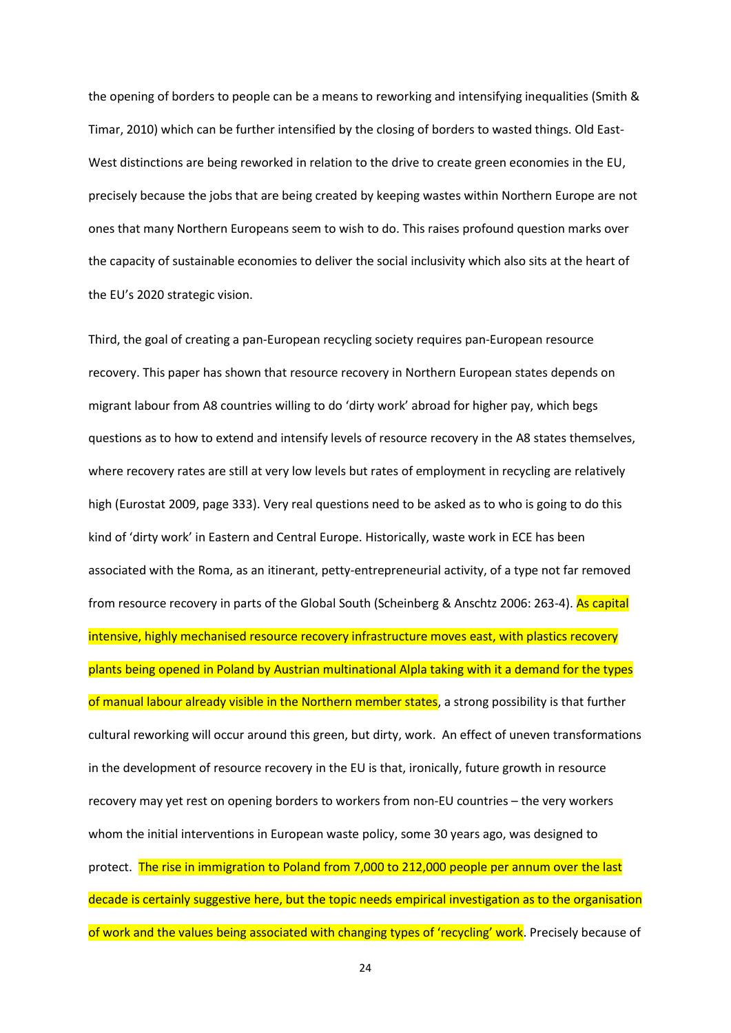the opening of borders to people can be a means to reworking and intensifying inequalities (Smith & Timar, 2010) which can be further intensified by the closing of borders to wasted things. Old East-West distinctions are being reworked in relation to the drive to create green economies in the EU, precisely because the jobs that are being created by keeping wastes within Northern Europe are not ones that many Northern Europeans seem to wish to do. This raises profound question marks over the capacity of sustainable economies to deliver the social inclusivity which also sits at the heart of the EU's 2020 strategic vision.

Third, the goal of creating a pan-European recycling society requires pan-European resource recovery. This paper has shown that resource recovery in Northern European states depends on migrant labour from A8 countries willing to do 'dirty work' abroad for higher pay, which begs questions as to how to extend and intensify levels of resource recovery in the A8 states themselves, where recovery rates are still at very low levels but rates of employment in recycling are relatively high (Eurostat 2009, page 333). Very real questions need to be asked as to who is going to do this kind of 'dirty work' in Eastern and Central Europe. Historically, waste work in ECE has been associated with the Roma, as an itinerant, petty-entrepreneurial activity, of a type not far removed from resource recovery in parts of the Global South (Scheinberg & Anschtz 2006: 263-4). As capital intensive, highly mechanised resource recovery infrastructure moves east, with plastics recovery plants being opened in Poland by Austrian multinational Alpla taking with it a demand for the types of manual labour already visible in the Northern member states, a strong possibility is that further cultural reworking will occur around this green, but dirty, work. An effect of uneven transformations in the development of resource recovery in the EU is that, ironically, future growth in resource recovery may yet rest on opening borders to workers from non-EU countries – the very workers whom the initial interventions in European waste policy, some 30 years ago, was designed to protect. The rise in immigration to Poland from 7,000 to 212,000 people per annum over the last decade is certainly suggestive here, but the topic needs empirical investigation as to the organisation of work and the values being associated with changing types of 'recycling' work. Precisely because of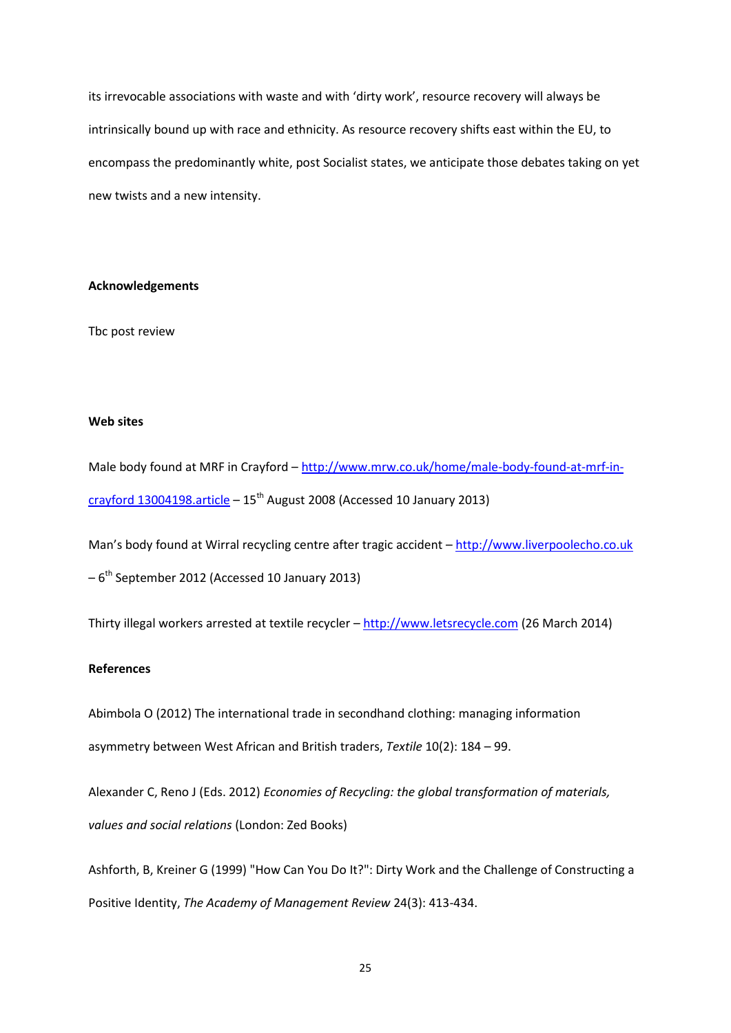its irrevocable associations with waste and with 'dirty work', resource recovery will always be intrinsically bound up with race and ethnicity. As resource recovery shifts east within the EU, to encompass the predominantly white, post Socialist states, we anticipate those debates taking on yet new twists and a new intensity.

### **Acknowledgements**

Tbc post review

#### **Web sites**

Male body found at MRF in Crayford – [http://www.mrw.co.uk/home/male-body-found-at-mrf-in](http://www.mrw.co.uk/home/male-body-found-at-mrf-in-crayford%2013004198.article)crayford  $13004198$  article –  $15<sup>th</sup>$  August 2008 (Accessed 10 January 2013)

Man's body found at Wirral recycling centre after tragic accident – [http://www.liverpoolecho.co.uk](http://www.liverpoolecho.co.uk/)

– 6<sup>th</sup> September 2012 (Accessed 10 January 2013)

Thirty illegal workers arrested at textile recycler - [http://www.letsrecycle.com](http://www.letsrecycle.com/) (26 March 2014)

# **References**

Abimbola O (2012) The international trade in secondhand clothing: managing information asymmetry between West African and British traders, *Textile* 10(2): 184 – 99.

Alexander C, Reno J (Eds. 2012) *Economies of Recycling: the global transformation of materials, values and social relations* (London: Zed Books)

Ashforth, B, Kreiner G (1999) "How Can You Do It?": Dirty Work and the Challenge of Constructing a Positive Identity, *The Academy of Management Review* 24(3): 413-434.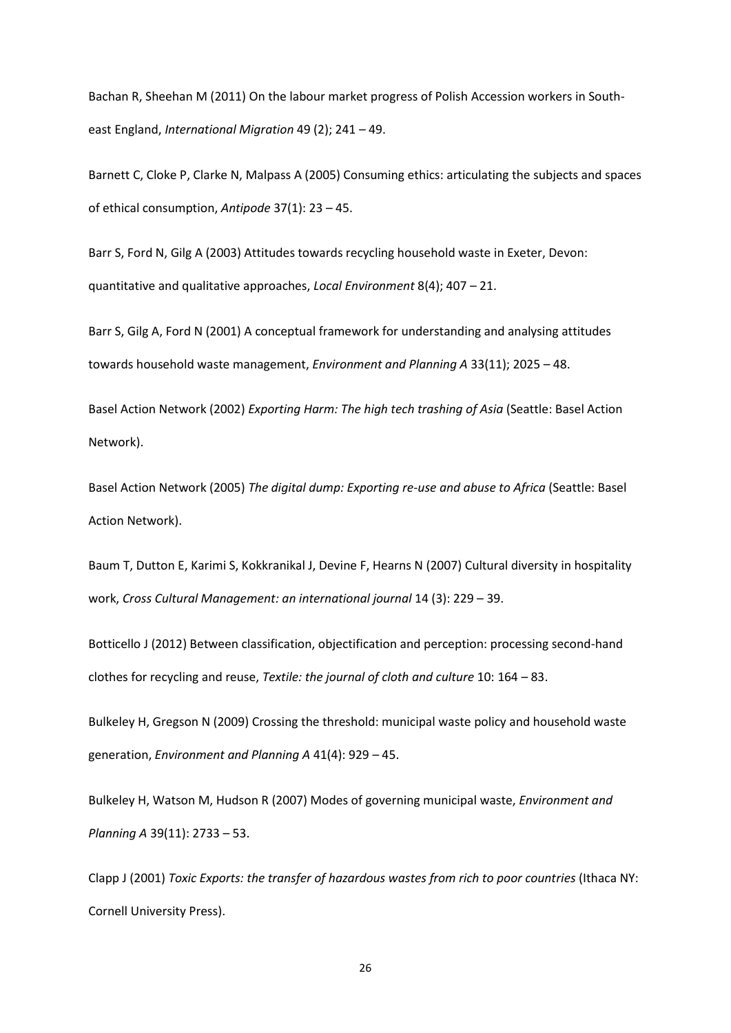Bachan R, Sheehan M (2011) On the labour market progress of Polish Accession workers in Southeast England, *International Migration* 49 (2); 241 – 49.

Barnett C, Cloke P, Clarke N, Malpass A (2005) Consuming ethics: articulating the subjects and spaces of ethical consumption, *Antipode* 37(1): 23 – 45.

Barr S, Ford N, Gilg A (2003) Attitudes towards recycling household waste in Exeter, Devon: quantitative and qualitative approaches, *Local Environment* 8(4); 407 – 21.

Barr S, Gilg A, Ford N (2001) A conceptual framework for understanding and analysing attitudes towards household waste management, *Environment and Planning A* 33(11); 2025 – 48.

Basel Action Network (2002) *Exporting Harm: The high tech trashing of Asia* (Seattle: Basel Action Network).

Basel Action Network (2005) *The digital dump: Exporting re-use and abuse to Africa* (Seattle: Basel Action Network).

Baum T, Dutton E, Karimi S, Kokkranikal J, Devine F, Hearns N (2007) Cultural diversity in hospitality work, *Cross Cultural Management: an international journal* 14 (3): 229 – 39.

Botticello J (2012) Between classification, objectification and perception: processing second-hand clothes for recycling and reuse, *Textile: the journal of cloth and culture* 10: 164 – 83.

Bulkeley H, Gregson N (2009) Crossing the threshold: municipal waste policy and household waste generation, *Environment and Planning A* 41(4): 929 – 45.

Bulkeley H, Watson M, Hudson R (2007) Modes of governing municipal waste, *Environment and Planning A* 39(11): 2733 – 53.

Clapp J (2001) *Toxic Exports: the transfer of hazardous wastes from rich to poor countries* (Ithaca NY: Cornell University Press).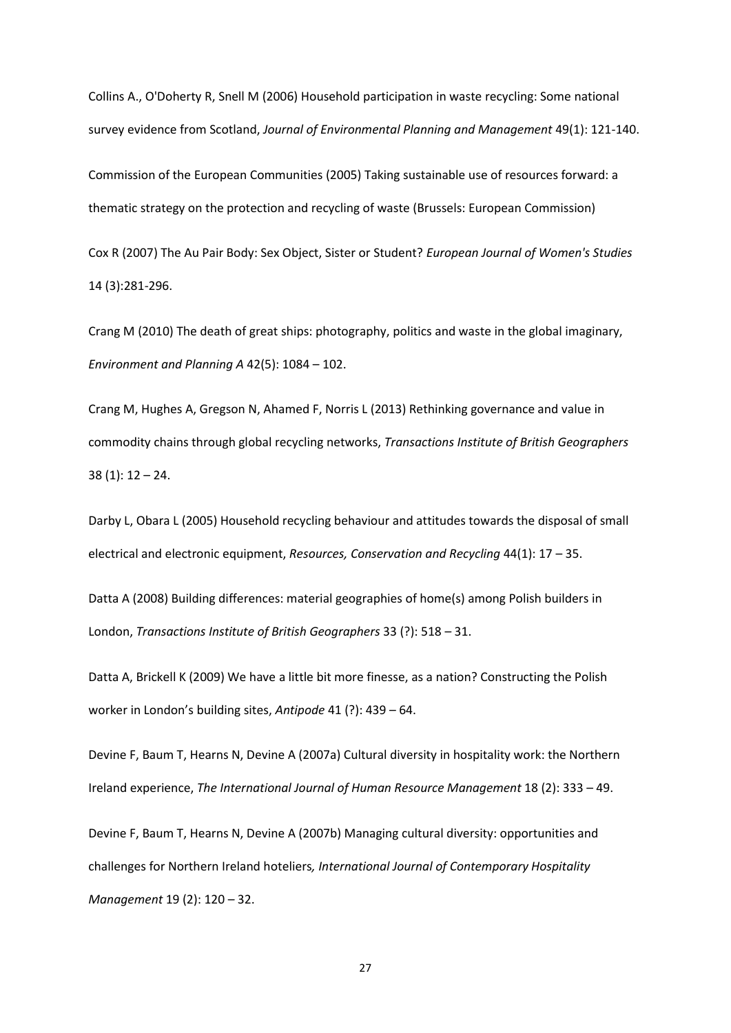Collins A., O'Doherty R, Snell M (2006) Household participation in waste recycling: Some national survey evidence from Scotland, *Journal of Environmental Planning and Management* 49(1): 121-140.

Commission of the European Communities (2005) Taking sustainable use of resources forward: a thematic strategy on the protection and recycling of waste (Brussels: European Commission)

Cox R (2007) The Au Pair Body: Sex Object, Sister or Student? *European Journal of Women's Studies* 14 (3):281-296.

Crang M (2010) The death of great ships: photography, politics and waste in the global imaginary, *Environment and Planning A* 42(5): 1084 – 102.

Crang M, Hughes A, Gregson N, Ahamed F, Norris L (2013) Rethinking governance and value in commodity chains through global recycling networks, *Transactions Institute of British Geographers*  38 (1): 12 – 24.

Darby L, Obara L (2005) Household recycling behaviour and attitudes towards the disposal of small electrical and electronic equipment, *Resources, Conservation and Recycling* 44(1): 17 – 35.

Datta A (2008) Building differences: material geographies of home(s) among Polish builders in London, *Transactions Institute of British Geographers* 33 (?): 518 – 31.

Datta A, Brickell K (2009) We have a little bit more finesse, as a nation? Constructing the Polish worker in London's building sites, *Antipode* 41 (?): 439 – 64.

Devine F, Baum T, Hearns N, Devine A (2007a) Cultural diversity in hospitality work: the Northern Ireland experience, *The International Journal of Human Resource Management* 18 (2): 333 – 49.

Devine F, Baum T, Hearns N, Devine A (2007b) Managing cultural diversity: opportunities and challenges for Northern Ireland hoteliers*, International Journal of Contemporary Hospitality Management* 19 (2): 120 – 32.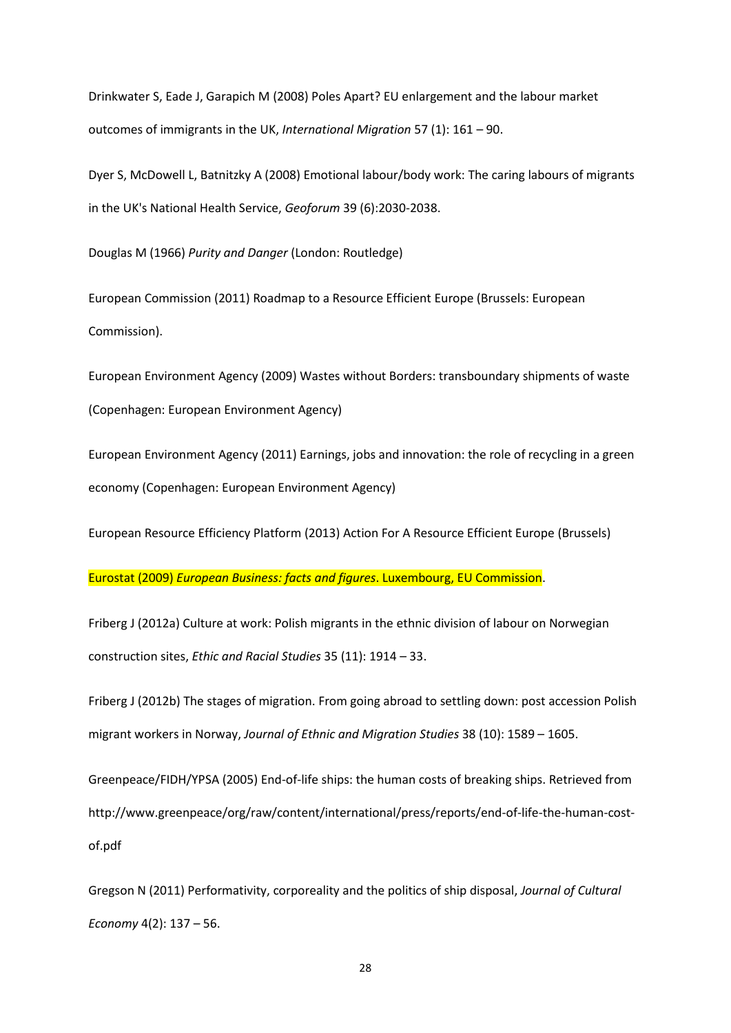Drinkwater S, Eade J, Garapich M (2008) Poles Apart? EU enlargement and the labour market outcomes of immigrants in the UK, *International Migration* 57 (1): 161 – 90.

Dyer S, McDowell L, Batnitzky A (2008) Emotional labour/body work: The caring labours of migrants in the UK's National Health Service, *Geoforum* 39 (6):2030-2038.

Douglas M (1966) *Purity and Danger* (London: Routledge)

European Commission (2011) Roadmap to a Resource Efficient Europe (Brussels: European Commission).

European Environment Agency (2009) Wastes without Borders: transboundary shipments of waste (Copenhagen: European Environment Agency)

European Environment Agency (2011) Earnings, jobs and innovation: the role of recycling in a green economy (Copenhagen: European Environment Agency)

European Resource Efficiency Platform (2013) Action For A Resource Efficient Europe (Brussels)

Eurostat (2009) *European Business: facts and figures*. Luxembourg, EU Commission.

Friberg J (2012a) Culture at work: Polish migrants in the ethnic division of labour on Norwegian construction sites, *Ethic and Racial Studies* 35 (11): 1914 – 33.

Friberg J (2012b) The stages of migration. From going abroad to settling down: post accession Polish migrant workers in Norway, *Journal of Ethnic and Migration Studies* 38 (10): 1589 – 1605.

Greenpeace/FIDH/YPSA (2005) End-of-life ships: the human costs of breaking ships. Retrieved from http://www.greenpeace/org/raw/content/international/press/reports/end-of-life-the-human-costof.pdf

Gregson N (2011) Performativity, corporeality and the politics of ship disposal, *Journal of Cultural Economy* 4(2): 137 – 56.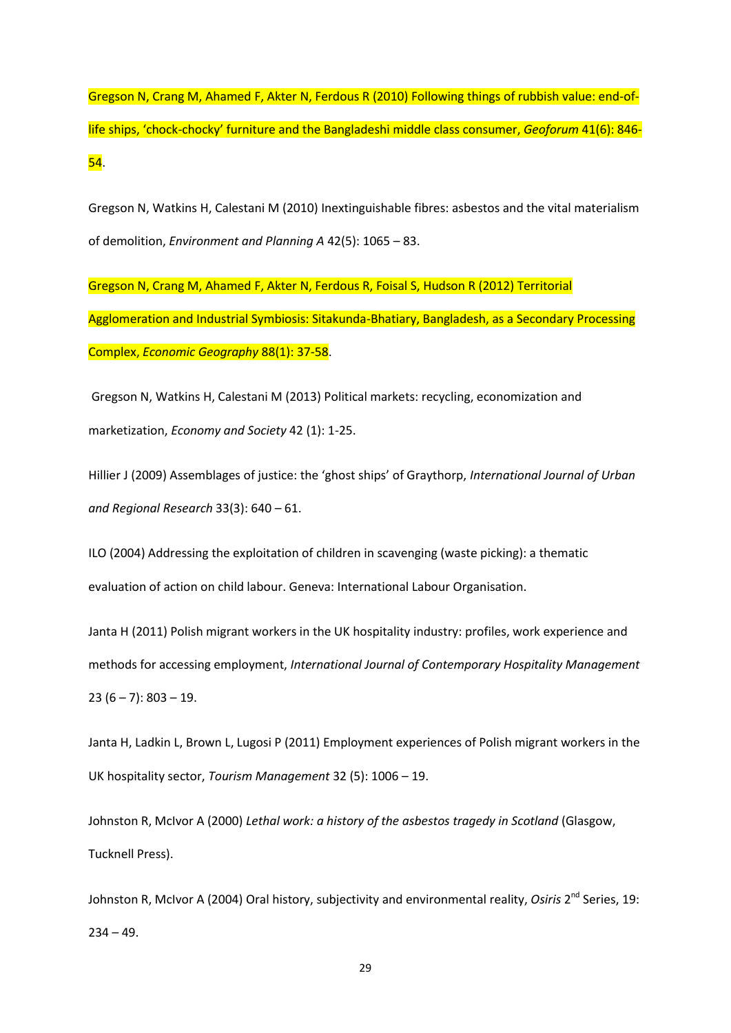Gregson N, Crang M, Ahamed F, Akter N, Ferdous R (2010) Following things of rubbish value: end-oflife ships, 'chock-chocky' furniture and the Bangladeshi middle class consumer, *Geoforum* 41(6): 846- 54.

Gregson N, Watkins H, Calestani M (2010) Inextinguishable fibres: asbestos and the vital materialism of demolition, *Environment and Planning A* 42(5): 1065 – 83.

Gregson N, Crang M, Ahamed F, Akter N, Ferdous R, Foisal S, Hudson R (2012) Territorial Agglomeration and Industrial Symbiosis: Sitakunda-Bhatiary, Bangladesh, as a Secondary Processing Complex, *Economic Geography* 88(1): 37-58.

Gregson N, Watkins H, Calestani M (2013) Political markets: recycling, economization and marketization, *Economy and Society* 42 (1): 1-25.

Hillier J (2009) Assemblages of justice: the 'ghost ships' of Graythorp, *International Journal of Urban and Regional Research* 33(3): 640 – 61.

ILO (2004) Addressing the exploitation of children in scavenging (waste picking): a thematic evaluation of action on child labour. Geneva: International Labour Organisation.

Janta H (2011) Polish migrant workers in the UK hospitality industry: profiles, work experience and methods for accessing employment, *International Journal of Contemporary Hospitality Management*  $23(6 - 7): 803 - 19.$ 

Janta H, Ladkin L, Brown L, Lugosi P (2011) Employment experiences of Polish migrant workers in the UK hospitality sector, *Tourism Management* 32 (5): 1006 – 19.

Johnston R, McIvor A (2000) *Lethal work: a history of the asbestos tragedy in Scotland* (Glasgow, Tucknell Press).

Johnston R, McIvor A (2004) Oral history, subjectivity and environmental reality, *Osiris* 2<sup>nd</sup> Series, 19:  $234 - 49.$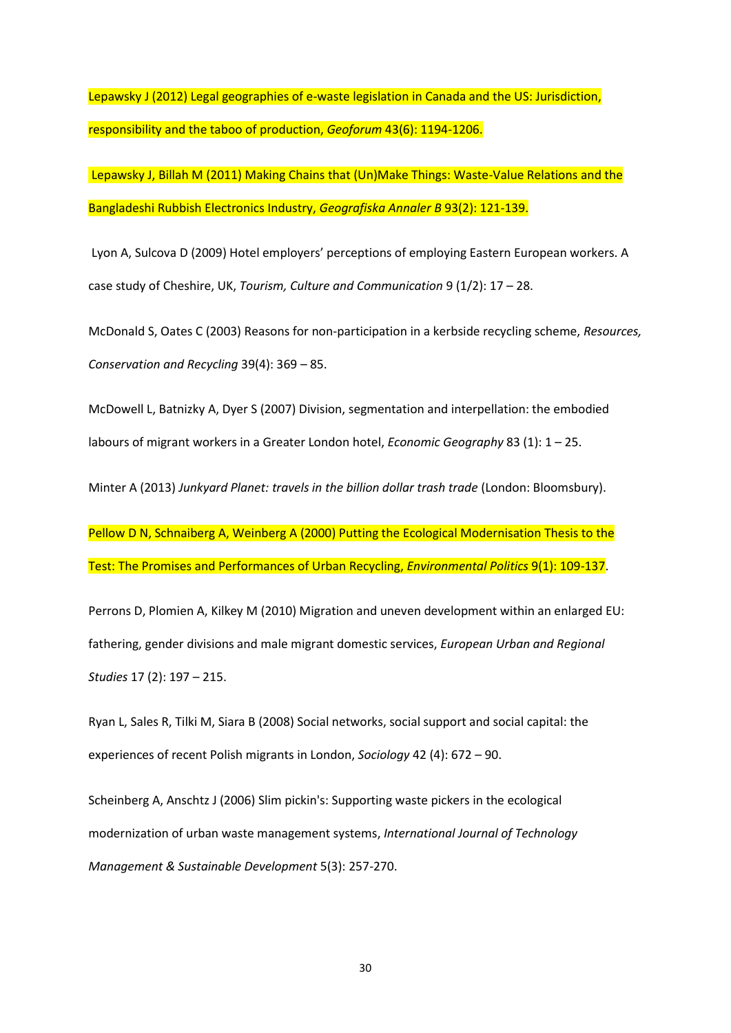Lepawsky J (2012) Legal geographies of e-waste legislation in Canada and the US: Jurisdiction, responsibility and the taboo of production, *Geoforum* 43(6): 1194-1206.

Lepawsky J, Billah M (2011) Making Chains that (Un)Make Things: Waste-Value Relations and the Bangladeshi Rubbish Electronics Industry, *Geografiska Annaler B* 93(2): 121-139.

Lyon A, Sulcova D (2009) Hotel employers' perceptions of employing Eastern European workers. A case study of Cheshire, UK, *Tourism, Culture and Communication* 9 (1/2): 17 – 28.

McDonald S, Oates C (2003) Reasons for non-participation in a kerbside recycling scheme, *Resources, Conservation and Recycling* 39(4): 369 – 85.

McDowell L, Batnizky A, Dyer S (2007) Division, segmentation and interpellation: the embodied labours of migrant workers in a Greater London hotel, *Economic Geography* 83 (1): 1 – 25.

Minter A (2013) *Junkyard Planet: travels in the billion dollar trash trade* (London: Bloomsbury).

Pellow D N, Schnaiberg A, Weinberg A (2000) Putting the Ecological Modernisation Thesis to the Test: The Promises and Performances of Urban Recycling, *Environmental Politics* 9(1): 109-137.

Perrons D, Plomien A, Kilkey M (2010) Migration and uneven development within an enlarged EU: fathering, gender divisions and male migrant domestic services, *European Urban and Regional Studies* 17 (2): 197 – 215.

Ryan L, Sales R, Tilki M, Siara B (2008) Social networks, social support and social capital: the experiences of recent Polish migrants in London, *Sociology* 42 (4): 672 – 90.

Scheinberg A, Anschtz J (2006) Slim pickin's: Supporting waste pickers in the ecological modernization of urban waste management systems, *International Journal of Technology Management & Sustainable Development* 5(3): 257-270.